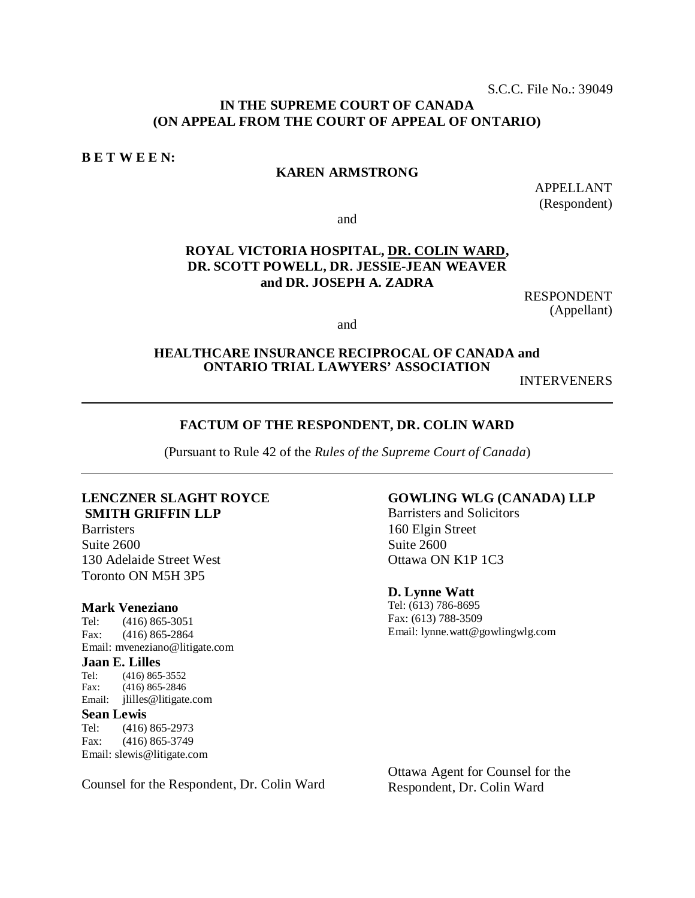S.C.C. File No.: 39049

## **IN THE SUPREME COURT OF CANADA (ON APPEAL FROM THE COURT OF APPEAL OF ONTARIO)**

**B E T W E E N:**

#### **KAREN ARMSTRONG**

APPELLANT (Respondent)

and

## **ROYAL VICTORIA HOSPITAL, DR. COLIN WARD, DR. SCOTT POWELL, DR. JESSIE-JEAN WEAVER and DR. JOSEPH A. ZADRA**

RESPONDENT (Appellant)

and

## **HEALTHCARE INSURANCE RECIPROCAL OF CANADA and ONTARIO TRIAL LAWYERS' ASSOCIATION**

INTERVENERS

#### **FACTUM OF THE RESPONDENT, DR. COLIN WARD**

(Pursuant to Rule 42 of the *Rules of the Supreme Court of Canada*)

## **LENCZNER SLAGHT ROYCE SMITH GRIFFIN LLP**

**Barristers** Suite 2600 130 Adelaide Street West Toronto ON M5H 3P5

# **Mark Veneziano**<br>Tel: (416) 865-30

 $(416) 865 - 3051$ Fax: (416) 865-2864 Email: [mveneziano@litigate.com](mailto:mveneziano@litigate.com)

#### **Jaan E. Lilles**

Tel: (416) 865-3552<br>Fax: (416) 865-2846  $(416) 865 - 2846$ Email: [jlilles@litigate.com](mailto:jlilles@litigate.com)

# **Sean Lewis**<br>Tel: (416)

(416) 865-2973 Fax: (416) 865-3749 Email: [slewis@litigate.com](mailto:slewis@litigate.com)

Counsel for the Respondent, Dr. Colin Ward

#### **GOWLING WLG (CANADA) LLP**

Barristers and Solicitors 160 Elgin Street Suite 2600 Ottawa ON K1P 1C3

#### **D. Lynne Watt**

Tel: (613) 786-8695 Fax: (613) 788-3509 Email: [lynne.watt@gowlingwlg.com](mailto:lynne.watt@gowlingwlg.com)

Ottawa Agent for Counsel for the Respondent, Dr. Colin Ward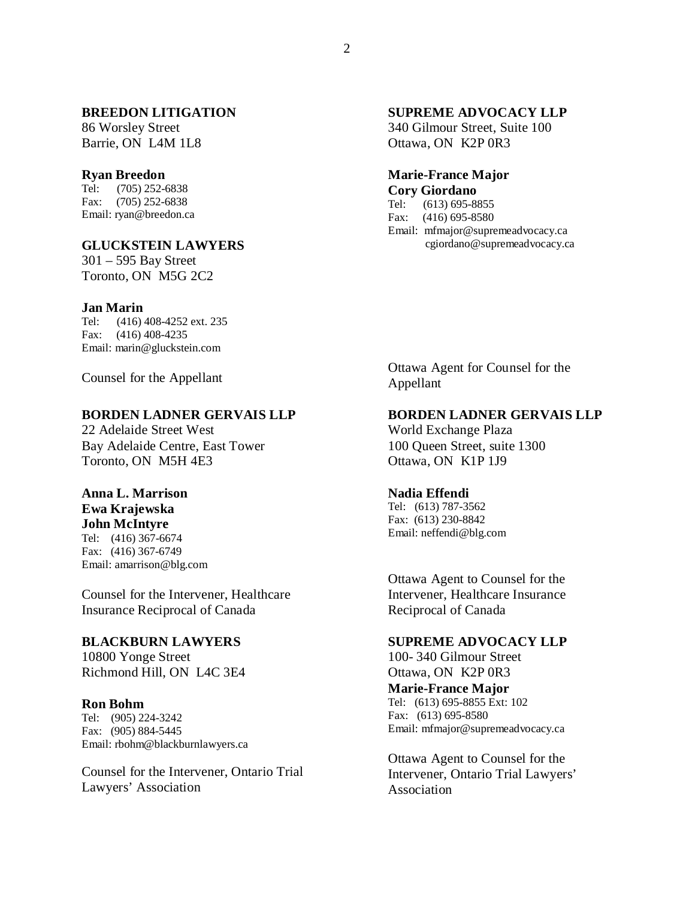## **BREEDON LITIGATION**

86 Worsley Street Barrie, ON L4M 1L8

#### **Ryan Breedon**

Tel: (705) 252-6838 Fax: (705) 252-6838 Email: [ryan@breedon.ca](mailto:ryan@breedon.ca)

#### **GLUCKSTEIN LAWYERS**

301 – 595 Bay Street Toronto, ON M5G 2C2

#### **Jan Marin**

Tel: (416) 408-4252 ext. 235 Fax: (416) 408-4235 Email: [marin@gluckstein.com](mailto:marin@gluckstein.com)

Counsel for the Appellant

## **BORDEN LADNER GERVAIS LLP**

22 Adelaide Street West Bay Adelaide Centre, East Tower Toronto, ON M5H 4E3

#### **Anna L. Marrison Ewa Krajewska**

# **John McIntyre**

Tel: (416) 367-6674 Fax: (416) 367-6749 Email: [amarrison@blg.com](mailto:amarrison@blg.com)

Counsel for the Intervener, Healthcare Insurance Reciprocal of Canada

#### **BLACKBURN LAWYERS**

10800 Yonge Street Richmond Hill, ON L4C 3E4

#### **Ron Bohm**

Tel: (905) 224-3242 Fax: (905) 884-5445 Email: [rbohm@blackburnlawyers.ca](mailto:rbohm@blackburnlawyers.ca)

Counsel for the Intervener, Ontario Trial Lawyers' Association

## **SUPREME ADVOCACY LLP**

340 Gilmour Street, Suite 100 Ottawa, ON K2P 0R3

# **Marie-France Major Cory Giordano**<br>Tel: (613) 695-88

Tel: (613) 695-8855<br>Fax: (416) 695-8580  $(416)$  695-8580

Email: [mfmajor@supremeadvocacy.ca](mailto:mfmajor@supremeadvocacy.ca) [cgiordano@supremeadvocacy.ca](mailto:cgiordano@supremeadvocacy.ca)

Ottawa Agent for Counsel for the Appellant

#### **BORDEN LADNER GERVAIS LLP**

World Exchange Plaza 100 Queen Street, suite 1300 Ottawa, ON K1P 1J9

#### **Nadia Effendi**

Tel: (613) 787-3562 Fax: (613) 230-8842 Email: [neffendi@blg.com](mailto:neffendi@blg.com)

Ottawa Agent to Counsel for the Intervener, Healthcare Insurance Reciprocal of Canada

#### **SUPREME ADVOCACY LLP**

100- 340 Gilmour Street Ottawa, ON K2P 0R3 **Marie-France Major** Tel: (613) 695-8855 Ext: 102 Fax: (613) 695-8580 Email: [mfmajor@supremeadvocacy.ca](mailto:mfmajor@supremeadvocacy.ca)

Ottawa Agent to Counsel for the Intervener, Ontario Trial Lawyers' Association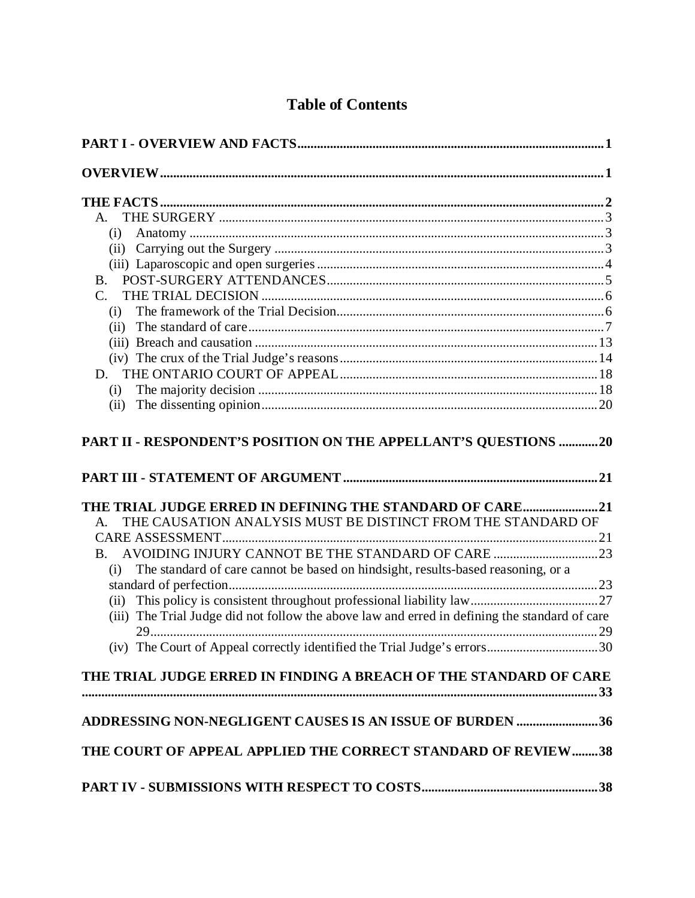# **Table of Contents**

| (i)                                                                                                   |  |
|-------------------------------------------------------------------------------------------------------|--|
|                                                                                                       |  |
|                                                                                                       |  |
|                                                                                                       |  |
| $C_{\cdot}$                                                                                           |  |
| (i)                                                                                                   |  |
|                                                                                                       |  |
|                                                                                                       |  |
|                                                                                                       |  |
|                                                                                                       |  |
| (i)                                                                                                   |  |
| (ii)                                                                                                  |  |
| THE TRIAL JUDGE ERRED IN DEFINING THE STANDARD OF CARE21                                              |  |
| THE CAUSATION ANALYSIS MUST BE DISTINCT FROM THE STANDARD OF                                          |  |
|                                                                                                       |  |
| $\mathbf{B}$ .                                                                                        |  |
| The standard of care cannot be based on hindsight, results-based reasoning, or a<br>(i)               |  |
|                                                                                                       |  |
| (ii)<br>(iii) The Trial Judge did not follow the above law and erred in defining the standard of care |  |
|                                                                                                       |  |
|                                                                                                       |  |
|                                                                                                       |  |
| THE TRIAL JUDGE ERRED IN FINDING A BREACH OF THE STANDARD OF CARE                                     |  |
|                                                                                                       |  |
| ADDRESSING NON-NEGLIGENT CAUSES IS AN ISSUE OF BURDEN 36                                              |  |
|                                                                                                       |  |
|                                                                                                       |  |
| THE COURT OF APPEAL APPLIED THE CORRECT STANDARD OF REVIEW38                                          |  |
|                                                                                                       |  |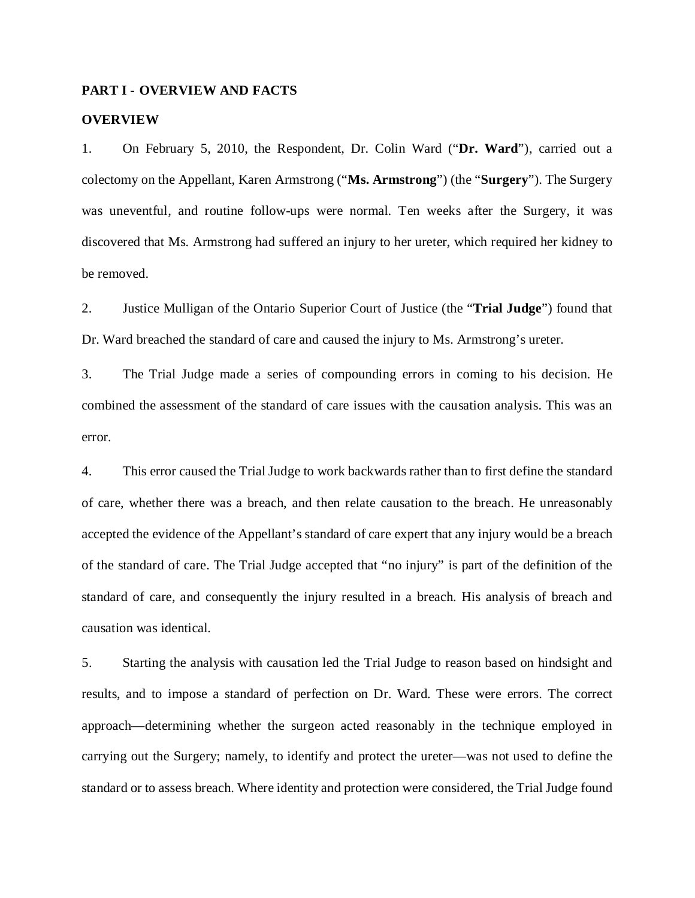#### <span id="page-4-0"></span>**PART I - OVERVIEW AND FACTS**

#### <span id="page-4-1"></span>**OVERVIEW**

1. On February 5, 2010, the Respondent, Dr. Colin Ward ("**Dr. Ward**"), carried out a colectomy on the Appellant, Karen Armstrong ("**Ms. Armstrong**") (the "**Surgery**"). The Surgery was uneventful, and routine follow-ups were normal. Ten weeks after the Surgery, it was discovered that Ms. Armstrong had suffered an injury to her ureter, which required her kidney to be removed.

2. Justice Mulligan of the Ontario Superior Court of Justice (the "**Trial Judge**") found that Dr. Ward breached the standard of care and caused the injury to Ms. Armstrong's ureter.

3. The Trial Judge made a series of compounding errors in coming to his decision. He combined the assessment of the standard of care issues with the causation analysis. This was an error.

4. This error caused the Trial Judge to work backwards rather than to first define the standard of care, whether there was a breach, and then relate causation to the breach. He unreasonably accepted the evidence of the Appellant's standard of care expert that any injury would be a breach of the standard of care. The Trial Judge accepted that "no injury" is part of the definition of the standard of care, and consequently the injury resulted in a breach. His analysis of breach and causation was identical.

5. Starting the analysis with causation led the Trial Judge to reason based on hindsight and results, and to impose a standard of perfection on Dr. Ward. These were errors. The correct approach—determining whether the surgeon acted reasonably in the technique employed in carrying out the Surgery; namely, to identify and protect the ureter—was not used to define the standard or to assess breach. Where identity and protection were considered, the Trial Judge found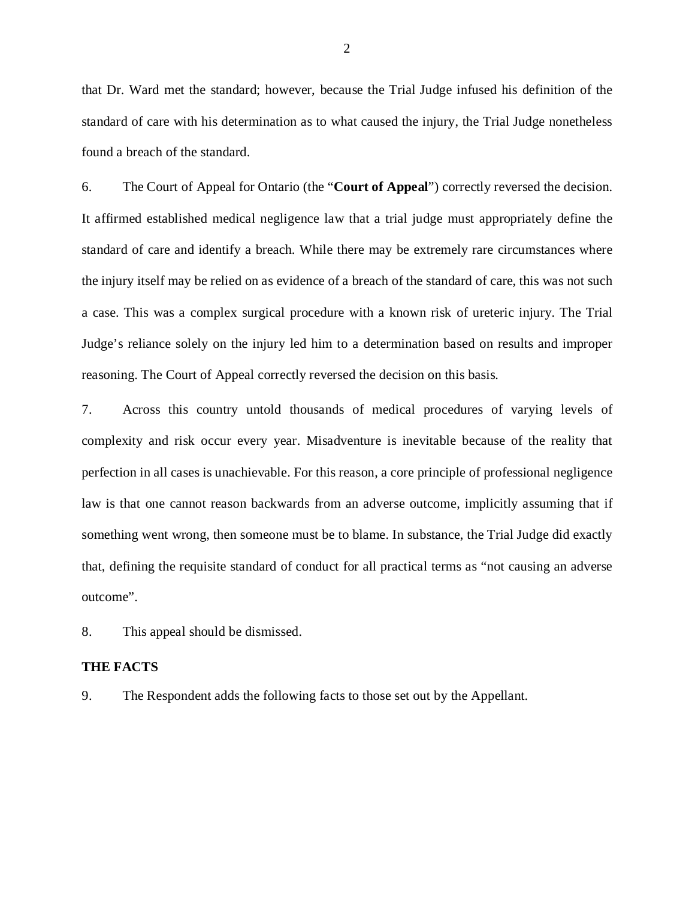that Dr. Ward met the standard; however, because the Trial Judge infused his definition of the standard of care with his determination as to what caused the injury, the Trial Judge nonetheless found a breach of the standard.

6. The Court of Appeal for Ontario (the "**Court of Appeal**") correctly reversed the decision. It affirmed established medical negligence law that a trial judge must appropriately define the standard of care and identify a breach. While there may be extremely rare circumstances where the injury itself may be relied on as evidence of a breach of the standard of care, this was not such a case. This was a complex surgical procedure with a known risk of ureteric injury. The Trial Judge's reliance solely on the injury led him to a determination based on results and improper reasoning. The Court of Appeal correctly reversed the decision on this basis.

7. Across this country untold thousands of medical procedures of varying levels of complexity and risk occur every year. Misadventure is inevitable because of the reality that perfection in all cases is unachievable. For this reason, a core principle of professional negligence law is that one cannot reason backwards from an adverse outcome, implicitly assuming that if something went wrong, then someone must be to blame. In substance, the Trial Judge did exactly that, defining the requisite standard of conduct for all practical terms as "not causing an adverse outcome".

8. This appeal should be dismissed.

## <span id="page-5-0"></span>**THE FACTS**

<span id="page-5-1"></span>9. The Respondent adds the following facts to those set out by the Appellant.

2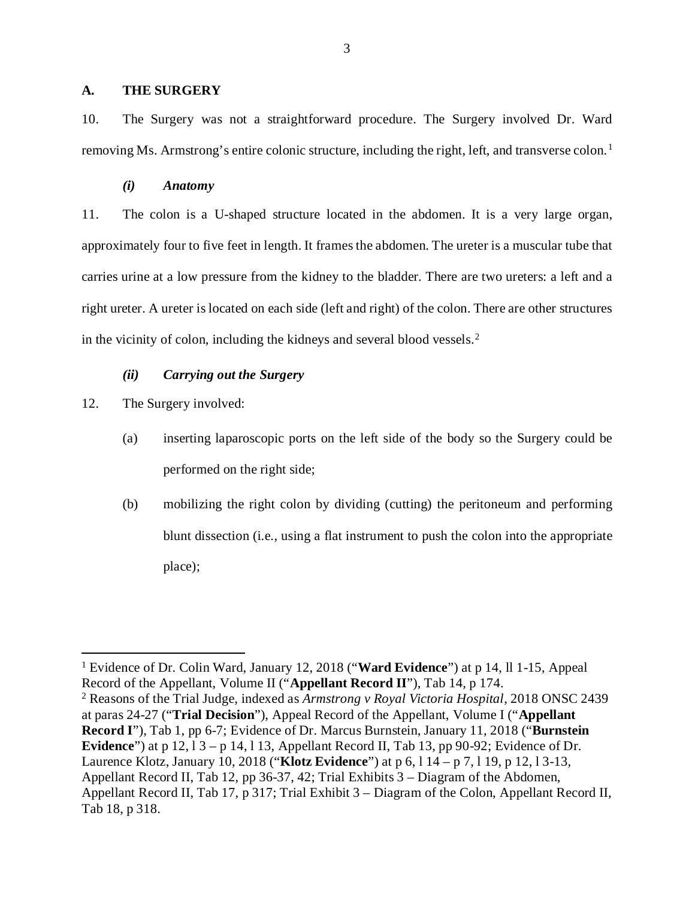#### **A. THE SURGERY**

10. The Surgery was not a straightforward procedure. The Surgery involved Dr. Ward removing Ms. Armstrong's entire colonic structure, including the right, left, and transverse colon. [1](#page-6-2)

#### *(i) Anatomy*

<span id="page-6-0"></span>11. The colon is a U-shaped structure located in the abdomen. It is a very large organ, approximately four to five feet in length. It frames the abdomen. The ureter is a muscular tube that carries urine at a low pressure from the kidney to the bladder. There are two ureters: a left and a right ureter. A ureter islocated on each side (left and right) of the colon. There are other structures in the vicinity of colon, including the kidneys and several blood vessels. [2](#page-6-3)

#### *(ii) Carrying out the Surgery*

<span id="page-6-1"></span>12. The Surgery involved:

- (a) inserting laparoscopic ports on the left side of the body so the Surgery could be performed on the right side;
- (b) mobilizing the right colon by dividing (cutting) the peritoneum and performing blunt dissection (i.e., using a flat instrument to push the colon into the appropriate place);

<span id="page-6-2"></span> <sup>1</sup> Evidence of Dr. Colin Ward, January 12, 2018 ("**Ward Evidence**") at p 14, ll 1-15, Appeal Record of the Appellant, Volume II ("**Appellant Record II**"), Tab 14, p 174.

<span id="page-6-3"></span><sup>2</sup> Reasons of the Trial Judge, indexed as *Armstrong v Royal Victoria Hospital*, 2018 ONSC 2439 at paras 24-27 ("**Trial Decision**"), Appeal Record of the Appellant, Volume I ("**Appellant Record I**"), Tab 1, pp 6-7; Evidence of Dr. Marcus Burnstein, January 11, 2018 ("**Burnstein Evidence**") at p 12, l 3 – p 14, l 13, Appellant Record II, Tab 13, pp 90-92; Evidence of Dr. Laurence Klotz, January 10, 2018 ("**Klotz Evidence**") at p 6, l 14 – p 7, l 19, p 12, l 3-13, Appellant Record II, Tab 12, pp 36-37, 42; Trial Exhibits 3 – Diagram of the Abdomen, Appellant Record II, Tab 17, p 317; Trial Exhibit 3 – Diagram of the Colon, Appellant Record II, Tab 18, p 318.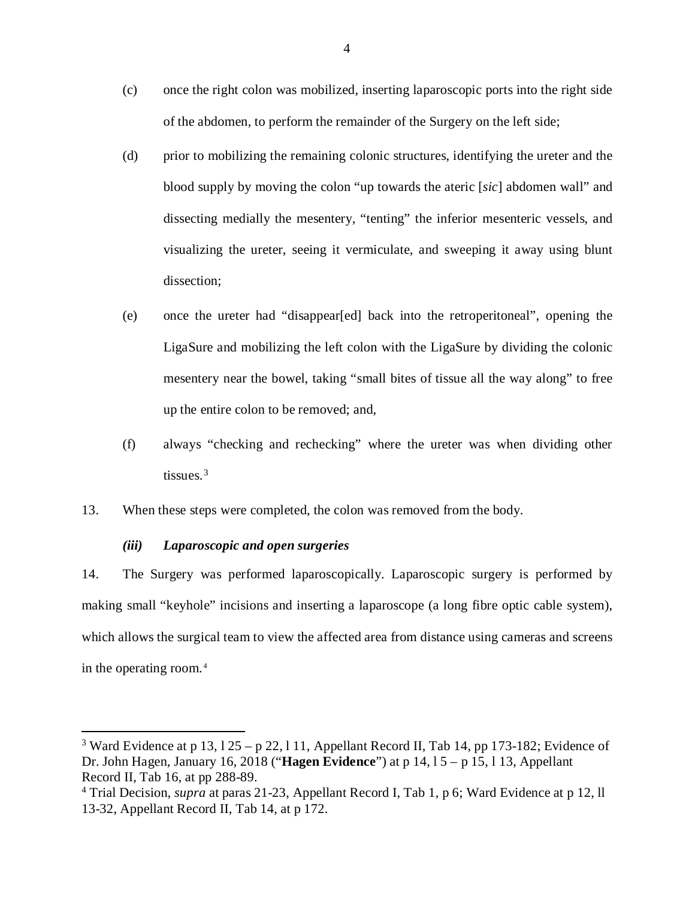- (c) once the right colon was mobilized, inserting laparoscopic ports into the right side of the abdomen, to perform the remainder of the Surgery on the left side;
- (d) prior to mobilizing the remaining colonic structures, identifying the ureter and the blood supply by moving the colon "up towards the ateric [*sic*] abdomen wall" and dissecting medially the mesentery, "tenting" the inferior mesenteric vessels, and visualizing the ureter, seeing it vermiculate, and sweeping it away using blunt dissection;
- (e) once the ureter had "disappear[ed] back into the retroperitoneal", opening the LigaSure and mobilizing the left colon with the LigaSure by dividing the colonic mesentery near the bowel, taking "small bites of tissue all the way along" to free up the entire colon to be removed; and,
- (f) always "checking and rechecking" where the ureter was when dividing other tissues. [3](#page-7-1)
- 13. When these steps were completed, the colon was removed from the body.

## *(iii) Laparoscopic and open surgeries*

<span id="page-7-0"></span>14. The Surgery was performed laparoscopically. Laparoscopic surgery is performed by making small "keyhole" incisions and inserting a laparoscope (a long fibre optic cable system), which allows the surgical team to view the affected area from distance using cameras and screens in the operating room. [4](#page-7-2)

<span id="page-7-1"></span><sup>&</sup>lt;sup>3</sup> Ward Evidence at p 13,  $125 - p 22$ , 111, Appellant Record II, Tab 14, pp 173-182; Evidence of Dr. John Hagen, January 16, 2018 ("**Hagen Evidence**") at p 14, l 5 – p 15, l 13, Appellant Record II, Tab 16, at pp 288-89.

<span id="page-7-2"></span><sup>4</sup> Trial Decision, *supra* at paras 21-23, Appellant Record I, Tab 1, p 6; Ward Evidence at p 12, ll 13-32, Appellant Record II, Tab 14, at p 172.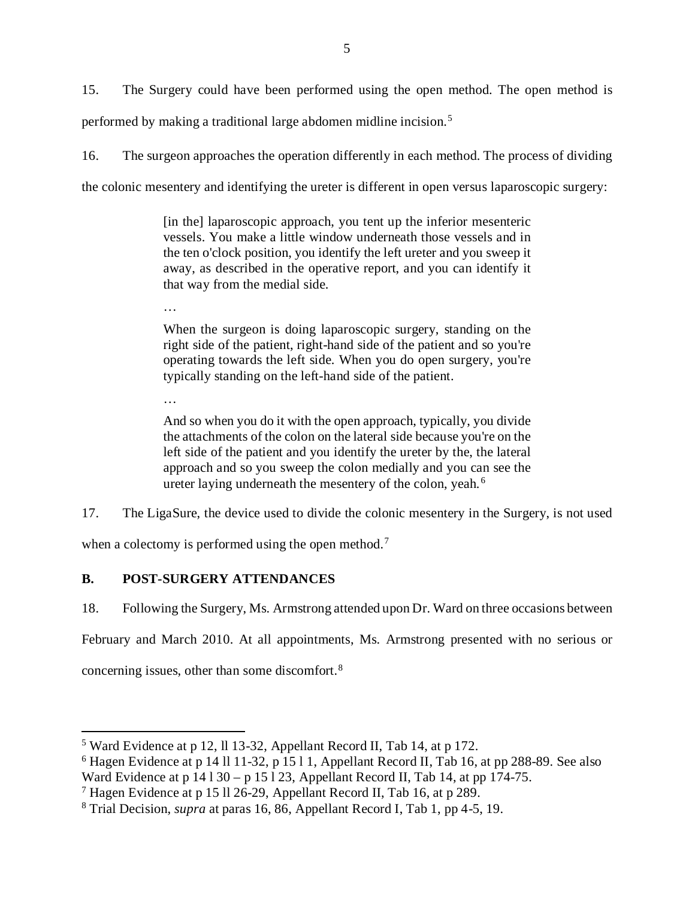15. The Surgery could have been performed using the open method. The open method is performed by making a traditional large abdomen midline incision. [5](#page-8-1)

16. The surgeon approaches the operation differently in each method. The process of dividing the colonic mesentery and identifying the ureter is different in open versus laparoscopic surgery:

> [in the] laparoscopic approach, you tent up the inferior mesenteric vessels. You make a little window underneath those vessels and in the ten o'clock position, you identify the left ureter and you sweep it away, as described in the operative report, and you can identify it that way from the medial side.

…

…

When the surgeon is doing laparoscopic surgery, standing on the right side of the patient, right-hand side of the patient and so you're operating towards the left side. When you do open surgery, you're typically standing on the left-hand side of the patient.

And so when you do it with the open approach, typically, you divide the attachments of the colon on the lateral side because you're on the left side of the patient and you identify the ureter by the, the lateral approach and so you sweep the colon medially and you can see the ureter laying underneath the mesentery of the colon, yeah. [6](#page-8-2)

17. The LigaSure, the device used to divide the colonic mesentery in the Surgery, is not used

when a colectomy is performed using the open method.<sup>[7](#page-8-3)</sup>

# <span id="page-8-0"></span>**B. POST-SURGERY ATTENDANCES**

18. Following the Surgery, Ms. Armstrong attended upon Dr. Ward on three occasions between

February and March 2010. At all appointments, Ms. Armstrong presented with no serious or

concerning issues, other than some discomfort.[8](#page-8-4)

<span id="page-8-1"></span> <sup>5</sup> Ward Evidence at p 12, ll 13-32, Appellant Record II, Tab 14, at p 172.

<span id="page-8-2"></span><sup>6</sup> Hagen Evidence at p 14 ll 11-32, p 15 l 1, Appellant Record II, Tab 16, at pp 288-89. See also Ward Evidence at p 14 l 30 – p 15 l 23, Appellant Record II, Tab 14, at pp 174-75.

<span id="page-8-3"></span><sup>7</sup> Hagen Evidence at p 15 ll 26-29, Appellant Record II, Tab 16, at p 289.

<span id="page-8-4"></span><sup>8</sup> Trial Decision, *supra* at paras 16, 86, Appellant Record I, Tab 1, pp 4-5, 19.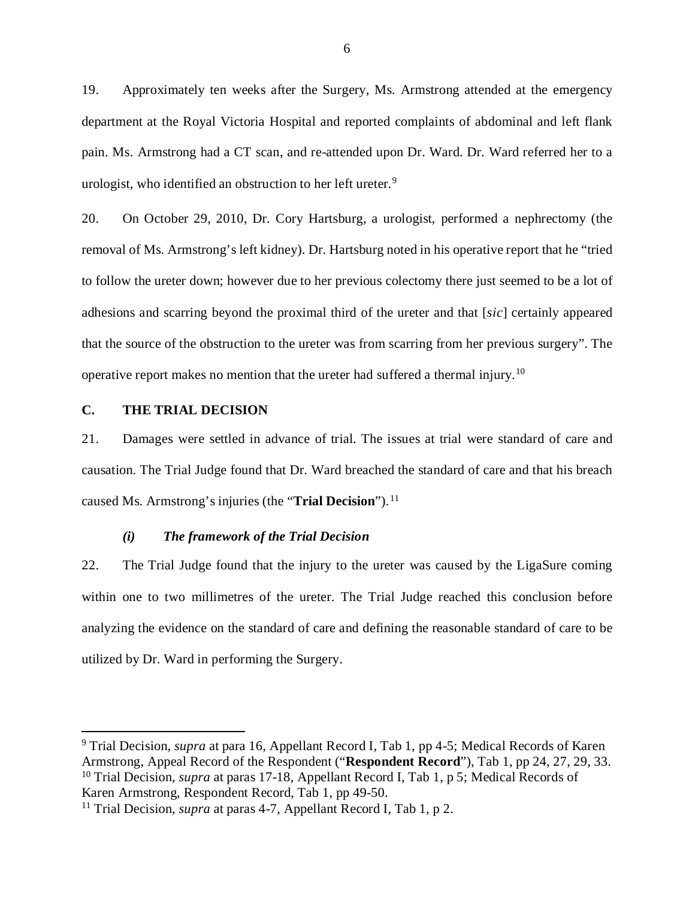19. Approximately ten weeks after the Surgery, Ms. Armstrong attended at the emergency department at the Royal Victoria Hospital and reported complaints of abdominal and left flank pain. Ms. Armstrong had a CT scan, and re-attended upon Dr. Ward. Dr. Ward referred her to a urologist, who identified an obstruction to her left ureter.<sup>[9](#page-9-2)</sup>

20. On October 29, 2010, Dr. Cory Hartsburg, a urologist, performed a nephrectomy (the removal of Ms. Armstrong's left kidney). Dr. Hartsburg noted in his operative report that he "tried to follow the ureter down; however due to her previous colectomy there just seemed to be a lot of adhesions and scarring beyond the proximal third of the ureter and that [*sic*] certainly appeared that the source of the obstruction to the ureter was from scarring from her previous surgery". The operative report makes no mention that the ureter had suffered a thermal injury.[10](#page-9-3)

### <span id="page-9-0"></span>**C. THE TRIAL DECISION**

21. Damages were settled in advance of trial. The issues at trial were standard of care and causation. The Trial Judge found that Dr. Ward breached the standard of care and that his breach caused Ms. Armstrong's injuries (the "**Trial Decision**").<sup>[11](#page-9-4)</sup>

## *(i) The framework of the Trial Decision*

<span id="page-9-1"></span>22. The Trial Judge found that the injury to the ureter was caused by the LigaSure coming within one to two millimetres of the ureter. The Trial Judge reached this conclusion before analyzing the evidence on the standard of care and defining the reasonable standard of care to be utilized by Dr. Ward in performing the Surgery.

<span id="page-9-3"></span><span id="page-9-2"></span> <sup>9</sup> Trial Decision, *supra* at para 16, Appellant Record I, Tab 1, pp 4-5; Medical Records of Karen Armstrong, Appeal Record of the Respondent ("**Respondent Record**"), Tab 1, pp 24, 27, 29, 33. <sup>10</sup> Trial Decision, *supra* at paras 17-18, Appellant Record I, Tab 1, p 5; Medical Records of Karen Armstrong, Respondent Record, Tab 1, pp 49-50.

<span id="page-9-4"></span><sup>&</sup>lt;sup>11</sup> Trial Decision, *supra* at paras 4-7, Appellant Record I, Tab 1, p 2.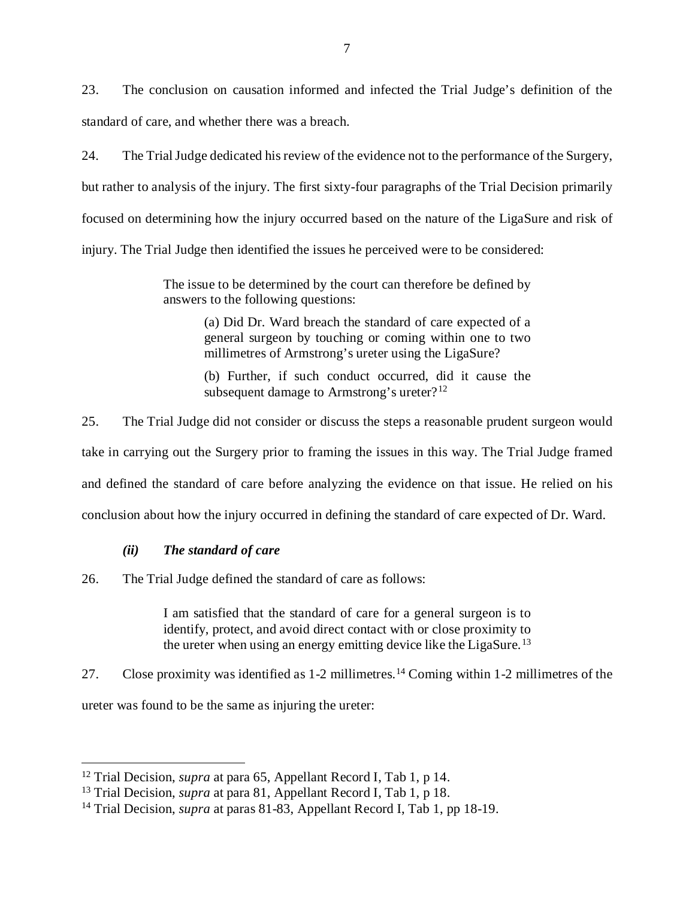23. The conclusion on causation informed and infected the Trial Judge's definition of the standard of care, and whether there was a breach.

24. The Trial Judge dedicated his review of the evidence not to the performance of the Surgery, but rather to analysis of the injury. The first sixty-four paragraphs of the Trial Decision primarily focused on determining how the injury occurred based on the nature of the LigaSure and risk of injury. The Trial Judge then identified the issues he perceived were to be considered:

> The issue to be determined by the court can therefore be defined by answers to the following questions:

> > (a) Did Dr. Ward breach the standard of care expected of a general surgeon by touching or coming within one to two millimetres of Armstrong's ureter using the LigaSure?

> > (b) Further, if such conduct occurred, did it cause the subsequent damage to Armstrong's ureter? $12$

25. The Trial Judge did not consider or discuss the steps a reasonable prudent surgeon would take in carrying out the Surgery prior to framing the issues in this way. The Trial Judge framed and defined the standard of care before analyzing the evidence on that issue. He relied on his conclusion about how the injury occurred in defining the standard of care expected of Dr. Ward.

## *(ii) The standard of care*

<span id="page-10-0"></span>26. The Trial Judge defined the standard of care as follows:

I am satisfied that the standard of care for a general surgeon is to identify, protect, and avoid direct contact with or close proximity to the ureter when using an energy emitting device like the LigaSure.<sup>[13](#page-10-2)</sup>

27. Close proximity was identified as 1-2 millimetres.[14](#page-10-3) Coming within 1-2 millimetres of the ureter was found to be the same as injuring the ureter:

<span id="page-10-1"></span> <sup>12</sup> Trial Decision, *supra* at para 65, Appellant Record I, Tab 1, p 14.

<span id="page-10-2"></span><sup>13</sup> Trial Decision, *supra* at para 81, Appellant Record I, Tab 1, p 18.

<span id="page-10-3"></span><sup>14</sup> Trial Decision, *supra* at paras 81-83, Appellant Record I, Tab 1, pp 18-19.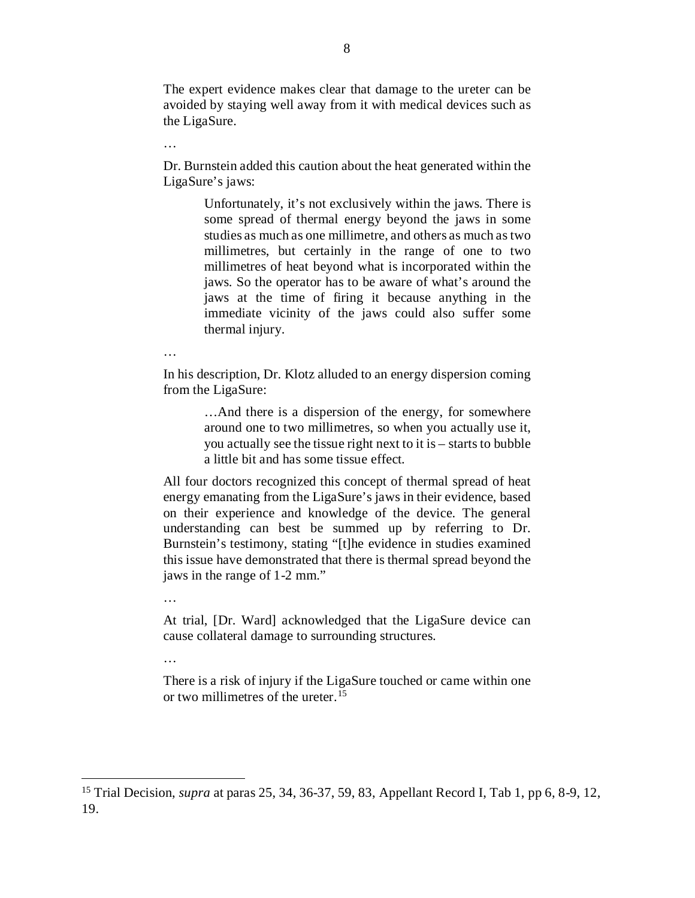The expert evidence makes clear that damage to the ureter can be avoided by staying well away from it with medical devices such as the LigaSure.

…

Dr. Burnstein added this caution about the heat generated within the LigaSure's jaws:

> Unfortunately, it's not exclusively within the jaws. There is some spread of thermal energy beyond the jaws in some studies as much as one millimetre, and others as much as two millimetres, but certainly in the range of one to two millimetres of heat beyond what is incorporated within the jaws. So the operator has to be aware of what's around the jaws at the time of firing it because anything in the immediate vicinity of the jaws could also suffer some thermal injury.

…

In his description, Dr. Klotz alluded to an energy dispersion coming from the LigaSure:

> …And there is a dispersion of the energy, for somewhere around one to two millimetres, so when you actually use it, you actually see the tissue right next to it is – starts to bubble a little bit and has some tissue effect.

All four doctors recognized this concept of thermal spread of heat energy emanating from the LigaSure's jaws in their evidence, based on their experience and knowledge of the device. The general understanding can best be summed up by referring to Dr. Burnstein's testimony, stating "[t]he evidence in studies examined this issue have demonstrated that there is thermal spread beyond the jaws in the range of 1-2 mm."

…

…

At trial, [Dr. Ward] acknowledged that the LigaSure device can cause collateral damage to surrounding structures.

There is a risk of injury if the LigaSure touched or came within one or two millimetres of the ureter.[15](#page-11-0)

<span id="page-11-0"></span> <sup>15</sup> Trial Decision, *supra* at paras 25, 34, 36-37, 59, 83, Appellant Record I, Tab 1, pp 6, 8-9, 12, 19.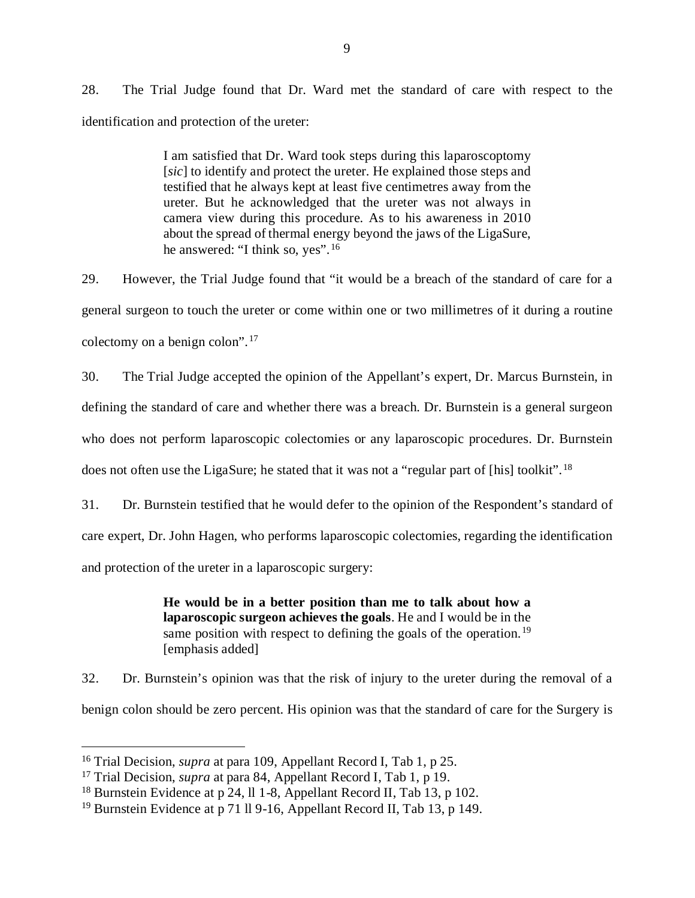28. The Trial Judge found that Dr. Ward met the standard of care with respect to the identification and protection of the ureter:

> I am satisfied that Dr. Ward took steps during this laparoscoptomy [*sic*] to identify and protect the ureter. He explained those steps and testified that he always kept at least five centimetres away from the ureter. But he acknowledged that the ureter was not always in camera view during this procedure. As to his awareness in 2010 about the spread of thermal energy beyond the jaws of the LigaSure, he answered: "I think so, yes".[16](#page-12-0)

29. However, the Trial Judge found that "it would be a breach of the standard of care for a general surgeon to touch the ureter or come within one or two millimetres of it during a routine colectomy on a benign colon".[17](#page-12-1)

30. The Trial Judge accepted the opinion of the Appellant's expert, Dr. Marcus Burnstein, in defining the standard of care and whether there was a breach. Dr. Burnstein is a general surgeon who does not perform laparoscopic colectomies or any laparoscopic procedures. Dr. Burnstein does not often use the LigaSure; he stated that it was not a "regular part of [his] toolkit". <sup>[18](#page-12-2)</sup>

31. Dr. Burnstein testified that he would defer to the opinion of the Respondent's standard of care expert, Dr. John Hagen, who performs laparoscopic colectomies, regarding the identification and protection of the ureter in a laparoscopic surgery:

> **He would be in a better position than me to talk about how a laparoscopic surgeon achieves the goals**. He and I would be in the same position with respect to defining the goals of the operation.<sup>[19](#page-12-3)</sup> [emphasis added]

32. Dr. Burnstein's opinion was that the risk of injury to the ureter during the removal of a benign colon should be zero percent. His opinion was that the standard of care for the Surgery is

<span id="page-12-0"></span> <sup>16</sup> Trial Decision, *supra* at para 109, Appellant Record I, Tab 1, p 25.

<span id="page-12-1"></span><sup>17</sup> Trial Decision, *supra* at para 84, Appellant Record I, Tab 1, p 19.

<span id="page-12-2"></span><sup>&</sup>lt;sup>18</sup> Burnstein Evidence at p 24, ll 1-8, Appellant Record II, Tab 13, p 102.

<span id="page-12-3"></span><sup>&</sup>lt;sup>19</sup> Burnstein Evidence at p 71 ll 9-16, Appellant Record II, Tab 13, p 149.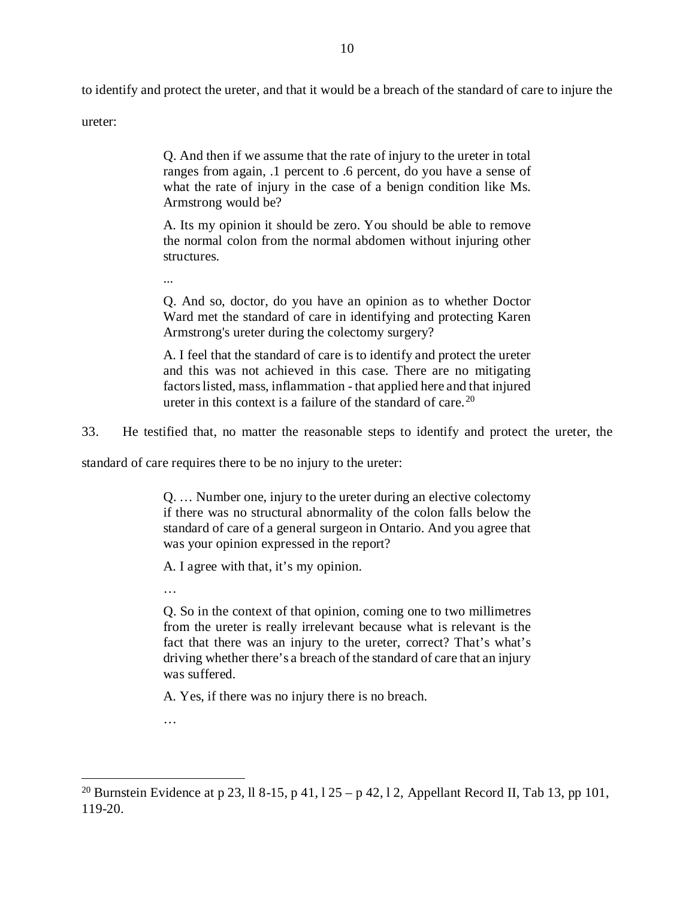to identify and protect the ureter, and that it would be a breach of the standard of care to injure the

ureter:

Q. And then if we assume that the rate of injury to the ureter in total ranges from again, .1 percent to .6 percent, do you have a sense of what the rate of injury in the case of a benign condition like Ms. Armstrong would be?

A. Its my opinion it should be zero. You should be able to remove the normal colon from the normal abdomen without injuring other structures.

Q. And so, doctor, do you have an opinion as to whether Doctor Ward met the standard of care in identifying and protecting Karen Armstrong's ureter during the colectomy surgery?

A. I feel that the standard of care is to identify and protect the ureter and this was not achieved in this case. There are no mitigating factors listed, mass, inflammation - that applied here and that injured ureter in this context is a failure of the standard of care. [20](#page-13-0)

33. He testified that, no matter the reasonable steps to identify and protect the ureter, the

standard of care requires there to be no injury to the ureter:

Q. … Number one, injury to the ureter during an elective colectomy if there was no structural abnormality of the colon falls below the standard of care of a general surgeon in Ontario. And you agree that was your opinion expressed in the report?

A. I agree with that, it's my opinion.

…

...

Q. So in the context of that opinion, coming one to two millimetres from the ureter is really irrelevant because what is relevant is the fact that there was an injury to the ureter, correct? That's what's driving whether there's a breach of the standard of care that an injury was suffered.

A. Yes, if there was no injury there is no breach.

…

<span id="page-13-0"></span><sup>&</sup>lt;sup>20</sup> Burnstein Evidence at p 23, ll 8-15, p 41, l 25 – p 42, l 2, Appellant Record II, Tab 13, pp 101, 119-20.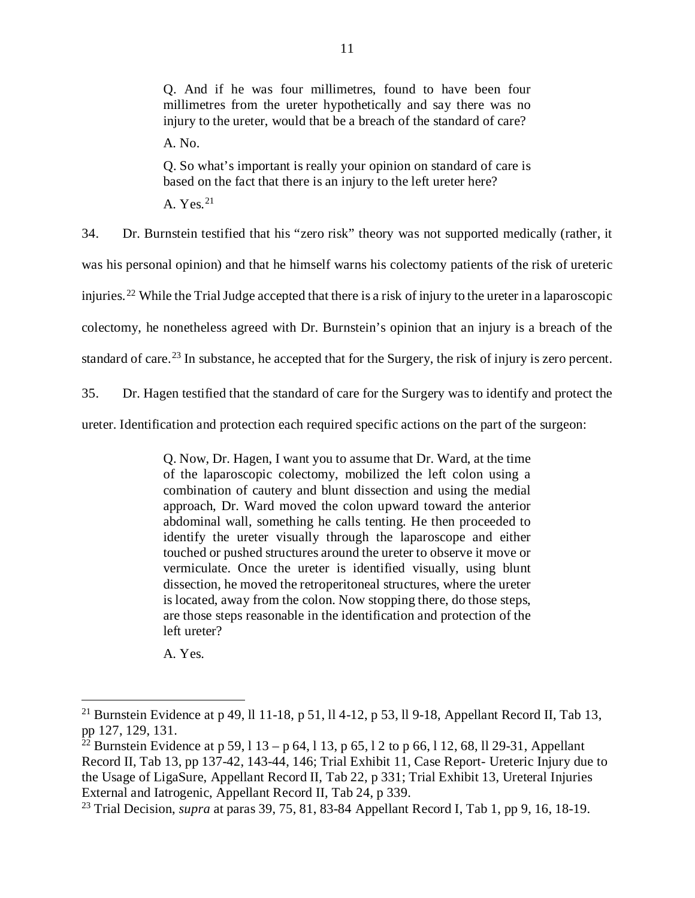Q. And if he was four millimetres, found to have been four millimetres from the ureter hypothetically and say there was no injury to the ureter, would that be a breach of the standard of care?

A. No.

Q. So what's important is really your opinion on standard of care is based on the fact that there is an injury to the left ureter here?

A. Yes.  $21$ 

34. Dr. Burnstein testified that his "zero risk" theory was not supported medically (rather, it was his personal opinion) and that he himself warns his colectomy patients of the risk of ureteric injuries.[22](#page-14-1) While the Trial Judge accepted that there is a risk of injury to the ureter in a laparoscopic colectomy, he nonetheless agreed with Dr. Burnstein's opinion that an injury is a breach of the standard of care.<sup>[23](#page-14-2)</sup> In substance, he accepted that for the Surgery, the risk of injury is zero percent.

35. Dr. Hagen testified that the standard of care for the Surgery was to identify and protect the

ureter. Identification and protection each required specific actions on the part of the surgeon:

Q. Now, Dr. Hagen, I want you to assume that Dr. Ward, at the time of the laparoscopic colectomy, mobilized the left colon using a combination of cautery and blunt dissection and using the medial approach, Dr. Ward moved the colon upward toward the anterior abdominal wall, something he calls tenting. He then proceeded to identify the ureter visually through the laparoscope and either touched or pushed structures around the ureter to observe it move or vermiculate. Once the ureter is identified visually, using blunt dissection, he moved the retroperitoneal structures, where the ureter is located, away from the colon. Now stopping there, do those steps, are those steps reasonable in the identification and protection of the left ureter?

A. Yes.

<span id="page-14-0"></span><sup>&</sup>lt;sup>21</sup> Burnstein Evidence at p 49, ll 11-18, p 51, ll 4-12, p 53, ll 9-18, Appellant Record II, Tab 13, pp 127, 129, 131.

<span id="page-14-1"></span><sup>&</sup>lt;sup>22</sup> Burnstein Evidence at p 59, l 13 – p 64, l 13, p 65, l 2 to p 66, l 12, 68, ll 29-31, Appellant Record II, Tab 13, pp 137-42, 143-44, 146; Trial Exhibit 11, Case Report- Ureteric Injury due to the Usage of LigaSure, Appellant Record II, Tab 22, p 331; Trial Exhibit 13, Ureteral Injuries External and Iatrogenic, Appellant Record II, Tab 24, p 339.

<span id="page-14-2"></span><sup>23</sup> Trial Decision, *supra* at paras 39, 75, 81, 83-84 Appellant Record I, Tab 1, pp 9, 16, 18-19.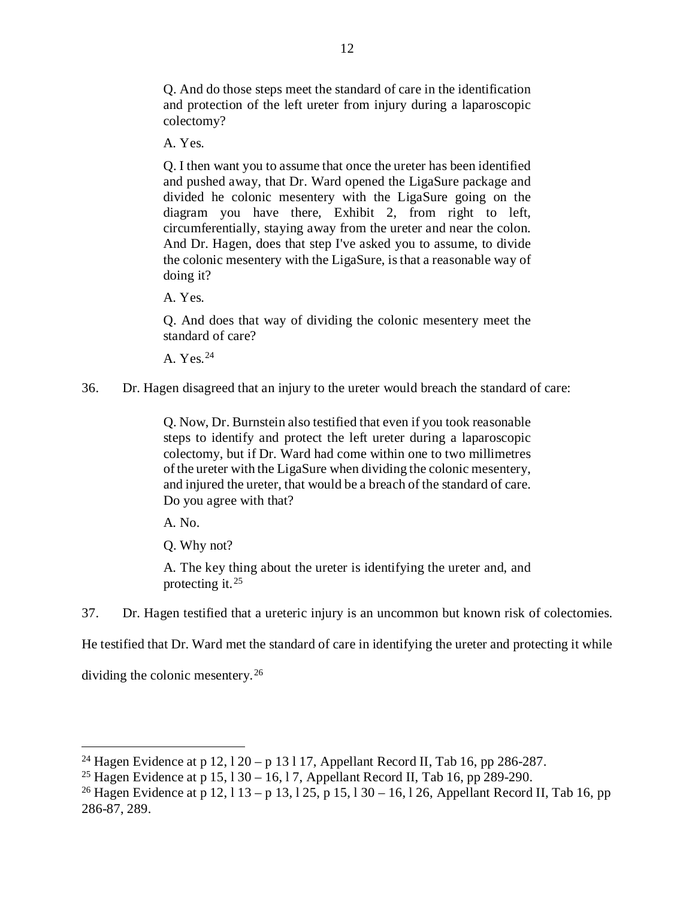Q. And do those steps meet the standard of care in the identification and protection of the left ureter from injury during a laparoscopic colectomy?

A. Yes.

Q. I then want you to assume that once the ureter has been identified and pushed away, that Dr. Ward opened the LigaSure package and divided he colonic mesentery with the LigaSure going on the diagram you have there, Exhibit 2, from right to left, circumferentially, staying away from the ureter and near the colon. And Dr. Hagen, does that step I've asked you to assume, to divide the colonic mesentery with the LigaSure, is that a reasonable way of doing it?

A. Yes.

Q. And does that way of dividing the colonic mesentery meet the standard of care?

A. Yes.[24](#page-15-0)

36. Dr. Hagen disagreed that an injury to the ureter would breach the standard of care:

Q. Now, Dr. Burnstein also testified that even if you took reasonable steps to identify and protect the left ureter during a laparoscopic colectomy, but if Dr. Ward had come within one to two millimetres of the ureter with the LigaSure when dividing the colonic mesentery, and injured the ureter, that would be a breach of the standard of care. Do you agree with that?

A. No.

Q. Why not?

A. The key thing about the ureter is identifying the ureter and, and protecting it.[25](#page-15-1)

37. Dr. Hagen testified that a ureteric injury is an uncommon but known risk of colectomies.

He testified that Dr. Ward met the standard of care in identifying the ureter and protecting it while

dividing the colonic mesentery.[26](#page-15-2)

<span id="page-15-0"></span><sup>&</sup>lt;sup>24</sup> Hagen Evidence at p 12,  $120 - p 13117$ , Appellant Record II, Tab 16, pp 286-287.

<span id="page-15-1"></span><sup>&</sup>lt;sup>25</sup> Hagen Evidence at p 15,  $130 - 16$ , 17, Appellant Record II, Tab 16, pp 289-290.

<span id="page-15-2"></span><sup>&</sup>lt;sup>26</sup> Hagen Evidence at p 12, l 13 – p 13, l 25, p 15, l 30 – 16, l 26, Appellant Record II, Tab 16, pp 286-87, 289.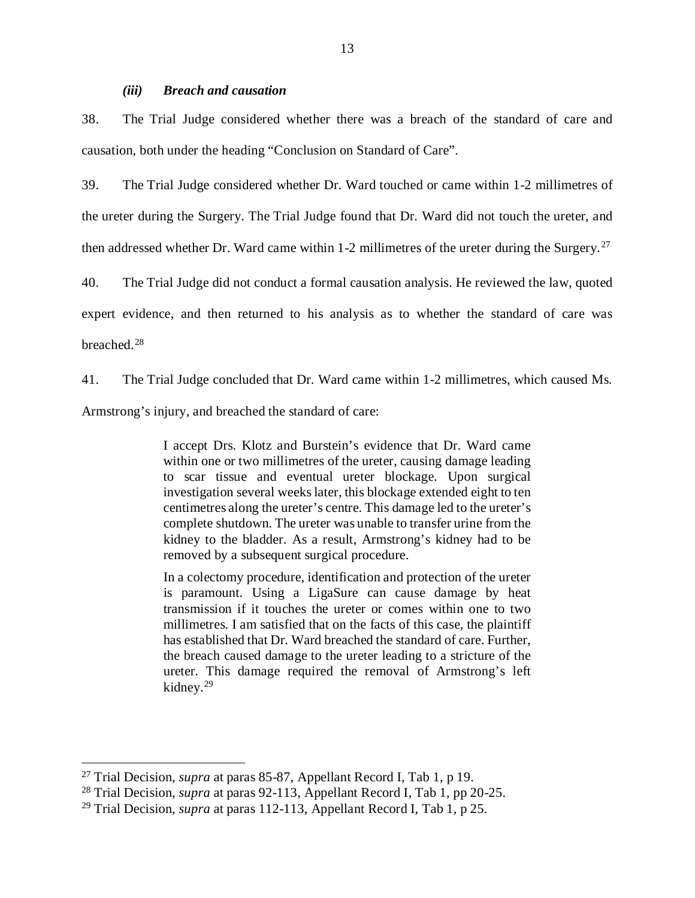#### *(iii) Breach and causation*

<span id="page-16-0"></span>38. The Trial Judge considered whether there was a breach of the standard of care and causation, both under the heading "Conclusion on Standard of Care".

39. The Trial Judge considered whether Dr. Ward touched or came within 1-2 millimetres of the ureter during the Surgery. The Trial Judge found that Dr. Ward did not touch the ureter, and then addressed whether Dr. Ward came within 1-2 millimetres of the ureter during the Surgery.<sup>[27](#page-16-1)</sup>

40. The Trial Judge did not conduct a formal causation analysis. He reviewed the law, quoted expert evidence, and then returned to his analysis as to whether the standard of care was breached. [28](#page-16-2)

41. The Trial Judge concluded that Dr. Ward came within 1-2 millimetres, which caused Ms. Armstrong's injury, and breached the standard of care:

> I accept Drs. Klotz and Burstein's evidence that Dr. Ward came within one or two millimetres of the ureter, causing damage leading to scar tissue and eventual ureter blockage. Upon surgical investigation several weeks later, this blockage extended eight to ten centimetres along the ureter's centre. This damage led to the ureter's complete shutdown. The ureter was unable to transfer urine from the kidney to the bladder. As a result, Armstrong's kidney had to be removed by a subsequent surgical procedure.

> In a colectomy procedure, identification and protection of the ureter is paramount. Using a LigaSure can cause damage by heat transmission if it touches the ureter or comes within one to two millimetres. I am satisfied that on the facts of this case, the plaintiff has established that Dr. Ward breached the standard of care. Further, the breach caused damage to the ureter leading to a stricture of the ureter. This damage required the removal of Armstrong's left kidney.[29](#page-16-3)

<span id="page-16-1"></span> <sup>27</sup> Trial Decision, *supra* at paras 85-87, Appellant Record I, Tab 1, p 19.

<span id="page-16-2"></span><sup>28</sup> Trial Decision, *supra* at paras 92-113, Appellant Record I, Tab 1, pp 20-25.

<span id="page-16-3"></span><sup>29</sup> Trial Decision, *supra* at paras 112-113, Appellant Record I, Tab 1, p 25.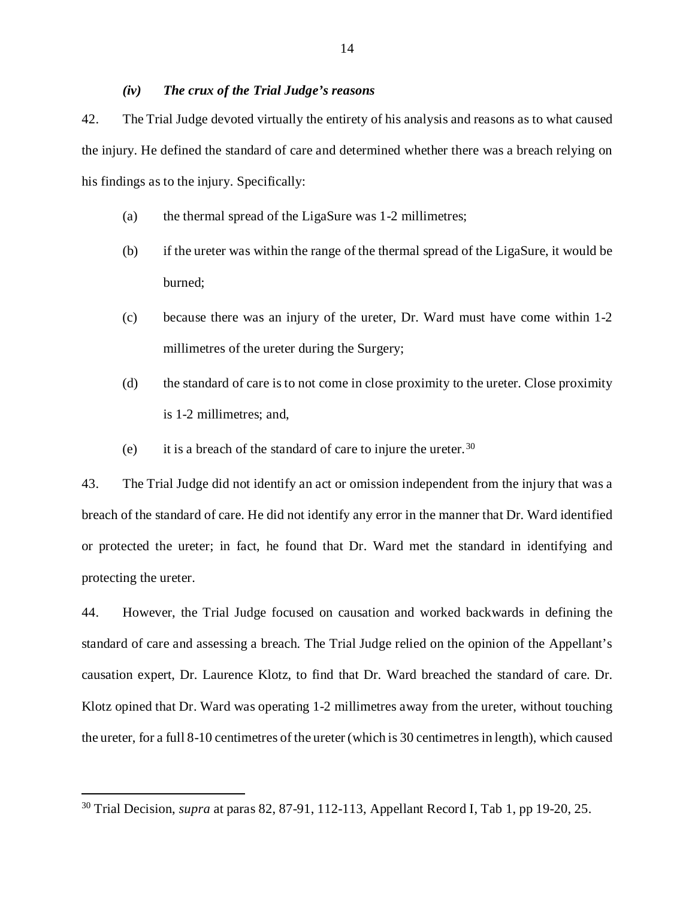#### *(iv) The crux of the Trial Judge's reasons*

- <span id="page-17-0"></span>42. The Trial Judge devoted virtually the entirety of his analysis and reasons as to what caused the injury. He defined the standard of care and determined whether there was a breach relying on his findings as to the injury. Specifically:
	- (a) the thermal spread of the LigaSure was 1-2 millimetres;
	- (b) if the ureter was within the range of the thermal spread of the LigaSure, it would be burned;
	- (c) because there was an injury of the ureter, Dr. Ward must have come within 1-2 millimetres of the ureter during the Surgery;
	- (d) the standard of care is to not come in close proximity to the ureter. Close proximity is 1-2 millimetres; and,
	- (e) it is a breach of the standard of care to injure the ureter.  $30$

43. The Trial Judge did not identify an act or omission independent from the injury that was a breach of the standard of care. He did not identify any error in the manner that Dr. Ward identified or protected the ureter; in fact, he found that Dr. Ward met the standard in identifying and protecting the ureter.

44. However, the Trial Judge focused on causation and worked backwards in defining the standard of care and assessing a breach. The Trial Judge relied on the opinion of the Appellant's causation expert, Dr. Laurence Klotz, to find that Dr. Ward breached the standard of care. Dr. Klotz opined that Dr. Ward was operating 1-2 millimetres away from the ureter, without touching the ureter, for a full 8-10 centimetres of the ureter (which is 30 centimetres in length), which caused

<span id="page-17-1"></span> <sup>30</sup> Trial Decision, *supra* at paras 82, 87-91, 112-113, Appellant Record I, Tab 1, pp 19-20, 25.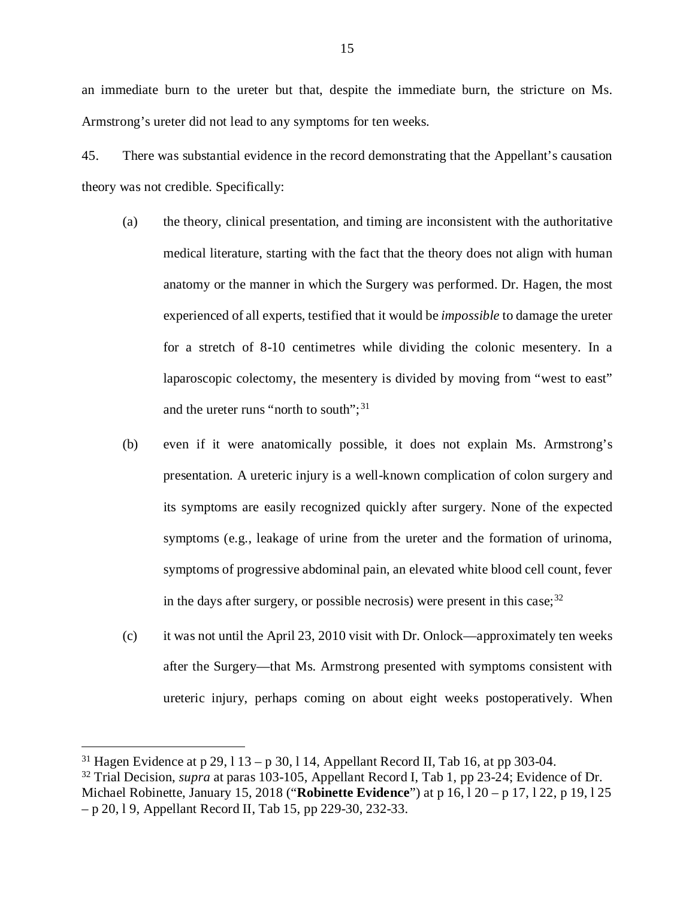an immediate burn to the ureter but that, despite the immediate burn, the stricture on Ms. Armstrong's ureter did not lead to any symptoms for ten weeks.

45. There was substantial evidence in the record demonstrating that the Appellant's causation theory was not credible. Specifically:

- (a) the theory, clinical presentation, and timing are inconsistent with the authoritative medical literature, starting with the fact that the theory does not align with human anatomy or the manner in which the Surgery was performed. Dr. Hagen, the most experienced of all experts, testified that it would be *impossible* to damage the ureter for a stretch of 8-10 centimetres while dividing the colonic mesentery. In a laparoscopic colectomy, the mesentery is divided by moving from "west to east" and the ureter runs "north to south";<sup>[31](#page-18-0)</sup>
- (b) even if it were anatomically possible, it does not explain Ms. Armstrong's presentation. A ureteric injury is a well-known complication of colon surgery and its symptoms are easily recognized quickly after surgery. None of the expected symptoms (e.g., leakage of urine from the ureter and the formation of urinoma, symptoms of progressive abdominal pain, an elevated white blood cell count, fever in the days after surgery, or possible necrosis) were present in this case;  $32$
- (c) it was not until the April 23, 2010 visit with Dr. Onlock—approximately ten weeks after the Surgery—that Ms. Armstrong presented with symptoms consistent with ureteric injury, perhaps coming on about eight weeks postoperatively. When

<span id="page-18-0"></span><sup>&</sup>lt;sup>31</sup> Hagen Evidence at p 29, 1 13 – p 30, 1 14, Appellant Record II, Tab 16, at pp 303-04.

<span id="page-18-1"></span><sup>32</sup> Trial Decision, *supra* at paras 103-105, Appellant Record I, Tab 1, pp 23-24; Evidence of Dr. Michael Robinette, January 15, 2018 ("**Robinette Evidence**") at p 16, l 20 – p 17, l 22, p 19, l 25 – p 20, l 9, Appellant Record II, Tab 15, pp 229-30, 232-33.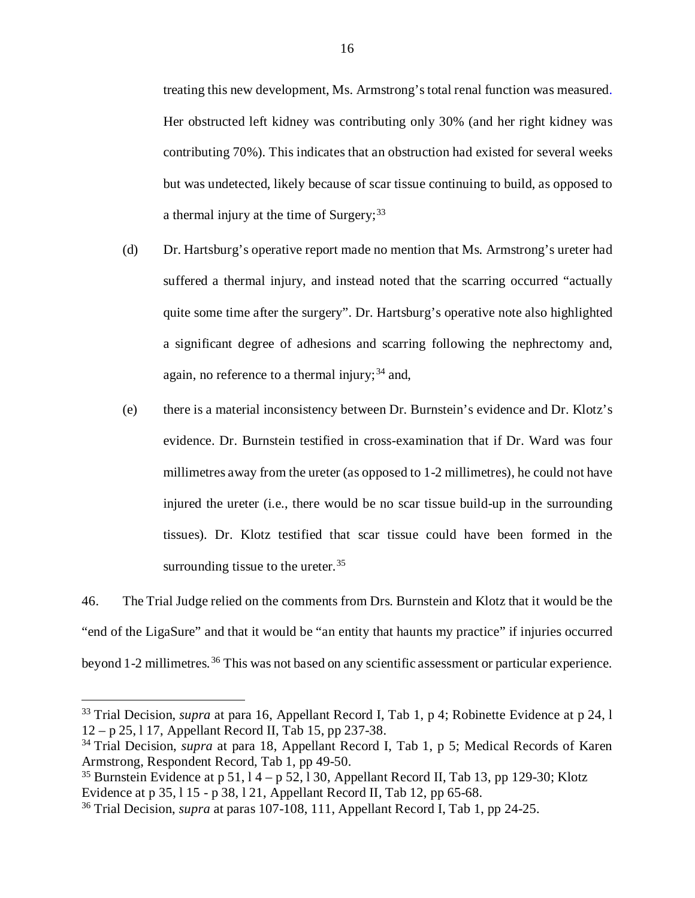treating this new development, Ms. Armstrong's total renal function was measured. Her obstructed left kidney was contributing only 30% (and her right kidney was contributing 70%). This indicates that an obstruction had existed for several weeks but was undetected, likely because of scar tissue continuing to build, as opposed to a thermal injury at the time of Surgery;  $33$ 

- (d) Dr. Hartsburg's operative report made no mention that Ms. Armstrong's ureter had suffered a thermal injury, and instead noted that the scarring occurred "actually quite some time after the surgery". Dr. Hartsburg's operative note also highlighted a significant degree of adhesions and scarring following the nephrectomy and, again, no reference to a thermal injury;  $34$  and,
- (e) there is a material inconsistency between Dr. Burnstein's evidence and Dr. Klotz's evidence. Dr. Burnstein testified in cross-examination that if Dr. Ward was four millimetres away from the ureter (as opposed to 1-2 millimetres), he could not have injured the ureter (i.e., there would be no scar tissue build-up in the surrounding tissues). Dr. Klotz testified that scar tissue could have been formed in the surrounding tissue to the ureter.<sup>[35](#page-19-2)</sup>

46. The Trial Judge relied on the comments from Drs. Burnstein and Klotz that it would be the "end of the LigaSure" and that it would be "an entity that haunts my practice" if injuries occurred beyond 1-2 millimetres. [36](#page-19-3) This was not based on any scientific assessment or particular experience.

<span id="page-19-0"></span><sup>&</sup>lt;sup>33</sup> Trial Decision, *supra* at para 16, Appellant Record I, Tab 1, p 4; Robinette Evidence at p 24, l 12 – p 25, l 17, Appellant Record II, Tab 15, pp 237-38.

<span id="page-19-1"></span><sup>34</sup> Trial Decision, *supra* at para 18, Appellant Record I, Tab 1, p 5; Medical Records of Karen Armstrong, Respondent Record, Tab 1, pp 49-50.

<span id="page-19-2"></span><sup>&</sup>lt;sup>35</sup> Burnstein Evidence at p 51,  $14 - p 52$ , 130, Appellant Record II, Tab 13, pp 129-30; Klotz Evidence at p 35, l 15 - p 38, l 21, Appellant Record II, Tab 12, pp 65-68.

<span id="page-19-3"></span><sup>36</sup> Trial Decision, *supra* at paras 107-108, 111, Appellant Record I, Tab 1, pp 24-25.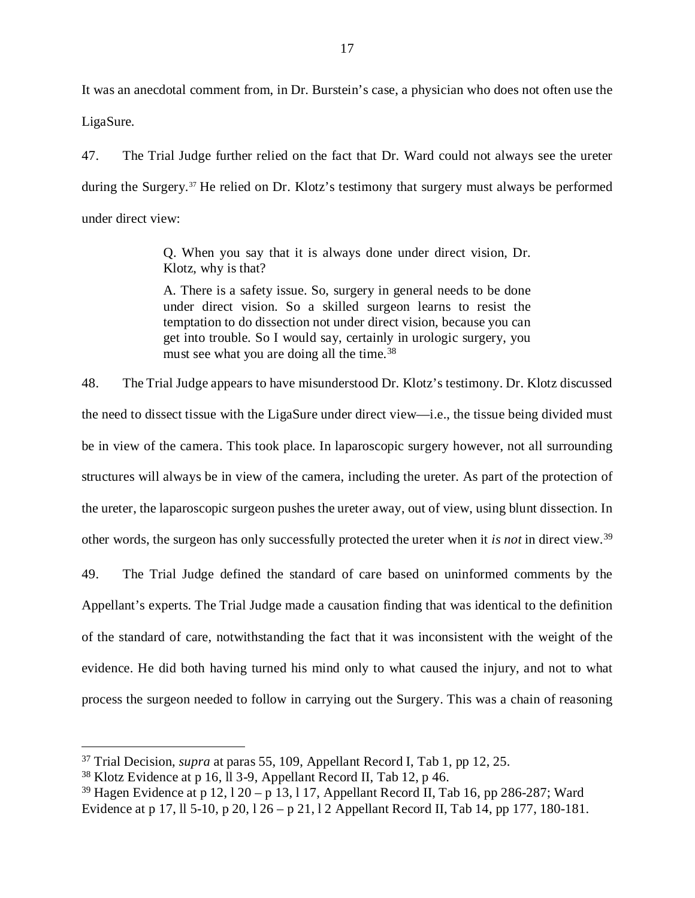It was an anecdotal comment from, in Dr. Burstein's case, a physician who does not often use the LigaSure.

47. The Trial Judge further relied on the fact that Dr. Ward could not always see the ureter during the Surgery.<sup>[37](#page-20-0)</sup> He relied on Dr. Klotz's testimony that surgery must always be performed under direct view:

> Q. When you say that it is always done under direct vision, Dr. Klotz, why is that?

> A. There is a safety issue. So, surgery in general needs to be done under direct vision. So a skilled surgeon learns to resist the temptation to do dissection not under direct vision, because you can get into trouble. So I would say, certainly in urologic surgery, you must see what you are doing all the time.<sup>[38](#page-20-1)</sup>

48. The Trial Judge appears to have misunderstood Dr. Klotz's testimony. Dr. Klotz discussed the need to dissect tissue with the LigaSure under direct view—i.e., the tissue being divided must be in view of the camera. This took place. In laparoscopic surgery however, not all surrounding structures will always be in view of the camera, including the ureter. As part of the protection of the ureter, the laparoscopic surgeon pushes the ureter away, out of view, using blunt dissection. In other words, the surgeon has only successfully protected the ureter when it *is not* in direct view.[39](#page-20-2)

49. The Trial Judge defined the standard of care based on uninformed comments by the Appellant's experts. The Trial Judge made a causation finding that was identical to the definition of the standard of care, notwithstanding the fact that it was inconsistent with the weight of the evidence. He did both having turned his mind only to what caused the injury, and not to what process the surgeon needed to follow in carrying out the Surgery. This was a chain of reasoning

<span id="page-20-0"></span> <sup>37</sup> Trial Decision, *supra* at paras 55, 109, Appellant Record I, Tab 1, pp 12, 25.

<span id="page-20-1"></span><sup>38</sup> Klotz Evidence at p 16, ll 3-9, Appellant Record II, Tab 12, p 46.

<span id="page-20-2"></span><sup>&</sup>lt;sup>39</sup> Hagen Evidence at p 12,  $120 - p$  13, 117, Appellant Record II, Tab 16, pp 286-287; Ward Evidence at p 17, ll 5-10, p 20, l 26 – p 21, l 2 Appellant Record II, Tab 14, pp 177, 180-181.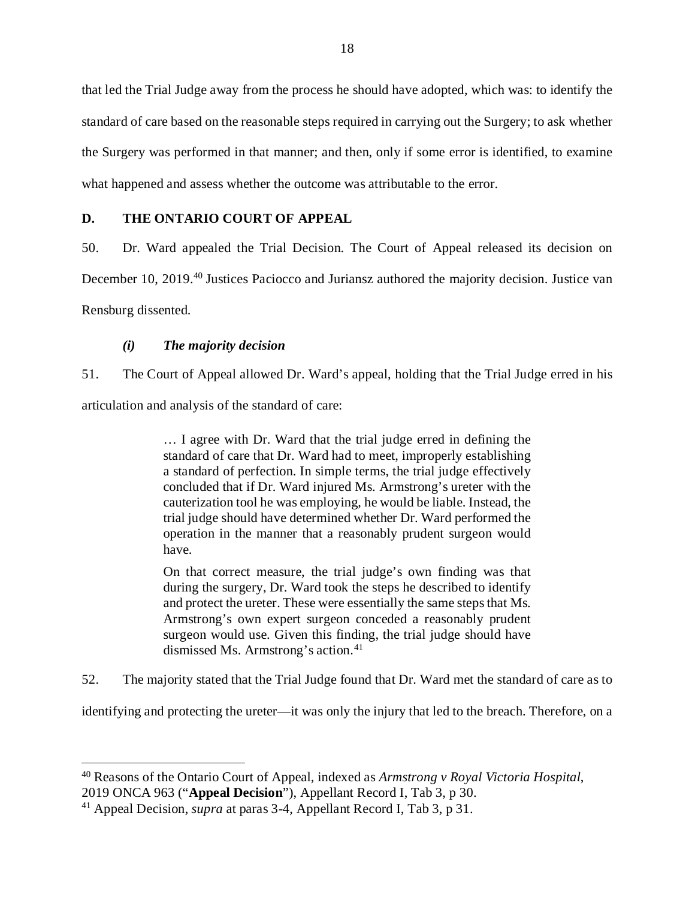that led the Trial Judge away from the process he should have adopted, which was: to identify the standard of care based on the reasonable steps required in carrying out the Surgery; to ask whether the Surgery was performed in that manner; and then, only if some error is identified, to examine what happened and assess whether the outcome was attributable to the error.

## <span id="page-21-0"></span>**D. THE ONTARIO COURT OF APPEAL**

50. Dr. Ward appealed the Trial Decision. The Court of Appeal released its decision on December 10, 2019.<sup>[40](#page-21-2)</sup> Justices Paciocco and Juriansz authored the majority decision. Justice van Rensburg dissented.

## *(i) The majority decision*

<span id="page-21-1"></span>51. The Court of Appeal allowed Dr. Ward's appeal, holding that the Trial Judge erred in his

articulation and analysis of the standard of care:

… I agree with Dr. Ward that the trial judge erred in defining the standard of care that Dr. Ward had to meet, improperly establishing a standard of perfection. In simple terms, the trial judge effectively concluded that if Dr. Ward injured Ms. Armstrong's ureter with the cauterization tool he was employing, he would be liable. Instead, the trial judge should have determined whether Dr. Ward performed the operation in the manner that a reasonably prudent surgeon would have.

On that correct measure, the trial judge's own finding was that during the surgery, Dr. Ward took the steps he described to identify and protect the ureter. These were essentially the same steps that Ms. Armstrong's own expert surgeon conceded a reasonably prudent surgeon would use. Given this finding, the trial judge should have dismissed Ms. Armstrong's action.<sup>[41](#page-21-3)</sup>

52. The majority stated that the Trial Judge found that Dr. Ward met the standard of care as to

identifying and protecting the ureter—it was only the injury that led to the breach. Therefore, on a

<span id="page-21-2"></span> <sup>40</sup> Reasons of the Ontario Court of Appeal, indexed as *Armstrong v Royal Victoria Hospital*, 2019 ONCA 963 ("**Appeal Decision**"), Appellant Record I, Tab 3, p 30.

<span id="page-21-3"></span><sup>41</sup> Appeal Decision, *supra* at paras 3-4, Appellant Record I, Tab 3, p 31.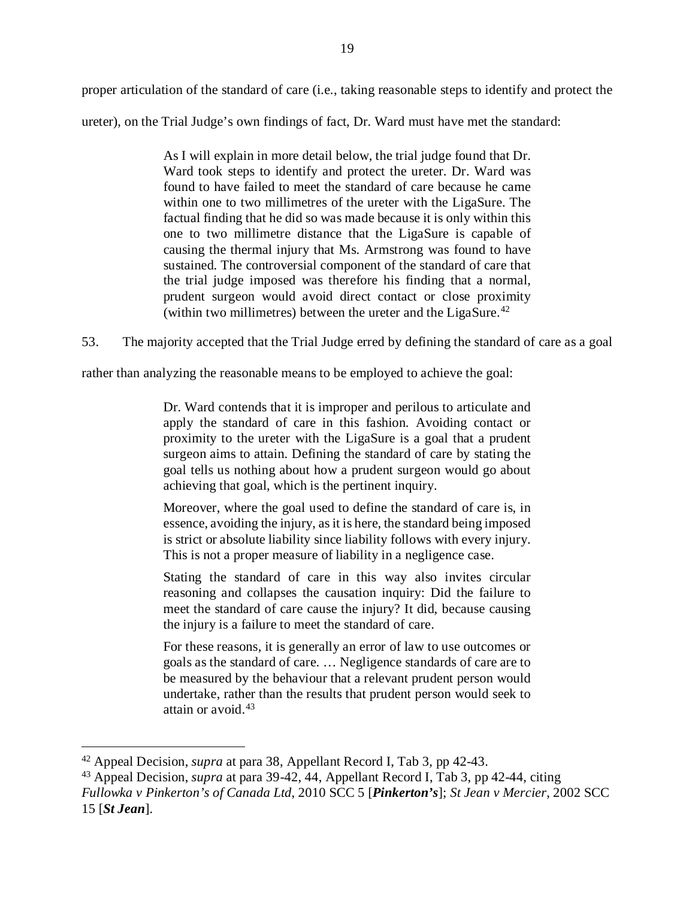proper articulation of the standard of care (i.e., taking reasonable steps to identify and protect the ureter), on the Trial Judge's own findings of fact, Dr. Ward must have met the standard:

> As I will explain in more detail below, the trial judge found that Dr. Ward took steps to identify and protect the ureter. Dr. Ward was found to have failed to meet the standard of care because he came within one to two millimetres of the ureter with the LigaSure. The factual finding that he did so was made because it is only within this one to two millimetre distance that the LigaSure is capable of causing the thermal injury that Ms. Armstrong was found to have sustained. The controversial component of the standard of care that the trial judge imposed was therefore his finding that a normal, prudent surgeon would avoid direct contact or close proximity (within two millimetres) between the ureter and the LigaSure.<sup>[42](#page-22-0)</sup>

53. The majority accepted that the Trial Judge erred by defining the standard of care as a goal

rather than analyzing the reasonable means to be employed to achieve the goal:

Dr. Ward contends that it is improper and perilous to articulate and apply the standard of care in this fashion. Avoiding contact or proximity to the ureter with the LigaSure is a goal that a prudent surgeon aims to attain. Defining the standard of care by stating the goal tells us nothing about how a prudent surgeon would go about achieving that goal, which is the pertinent inquiry.

Moreover, where the goal used to define the standard of care is, in essence, avoiding the injury, as it is here, the standard being imposed is strict or absolute liability since liability follows with every injury. This is not a proper measure of liability in a negligence case.

Stating the standard of care in this way also invites circular reasoning and collapses the causation inquiry: Did the failure to meet the standard of care cause the injury? It did, because causing the injury is a failure to meet the standard of care.

For these reasons, it is generally an error of law to use outcomes or goals as the standard of care. … Negligence standards of care are to be measured by the behaviour that a relevant prudent person would undertake, rather than the results that prudent person would seek to attain or avoid.[43](#page-22-1)

<span id="page-22-0"></span> <sup>42</sup> Appeal Decision, *supra* at para 38, Appellant Record I, Tab 3, pp 42-43.

<span id="page-22-1"></span><sup>43</sup> Appeal Decision, *supra* at para 39-42, 44, Appellant Record I, Tab 3, pp 42-44, citing *Fullowka v Pinkerton's of Canada Ltd*, 2010 SCC 5 [*Pinkerton's*]; *St Jean v Mercier*, 2002 SCC 15 [*St Jean*].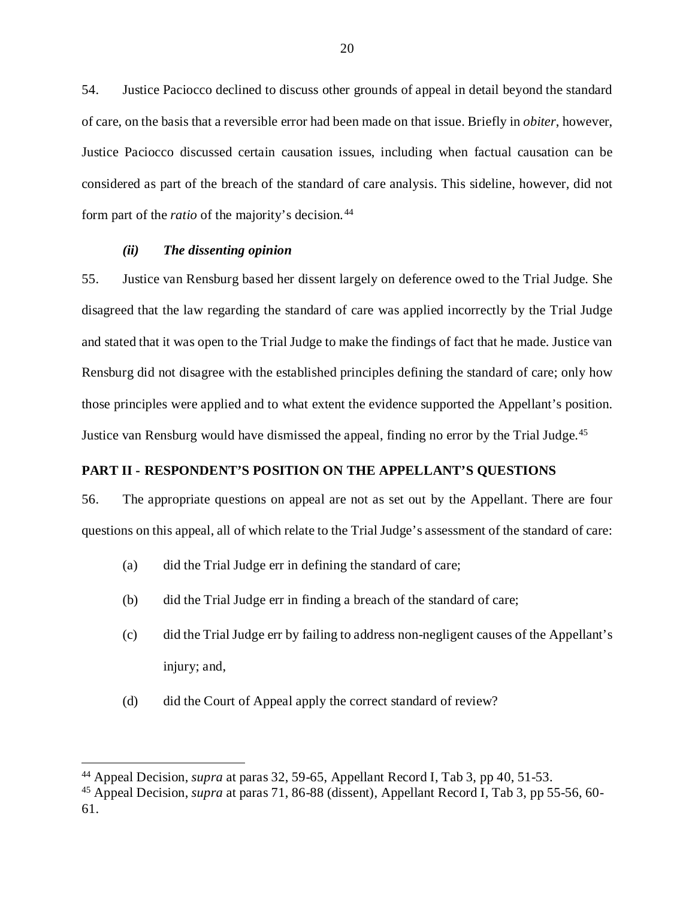54. Justice Paciocco declined to discuss other grounds of appeal in detail beyond the standard of care, on the basis that a reversible error had been made on that issue. Briefly in *obiter*, however, Justice Paciocco discussed certain causation issues, including when factual causation can be considered as part of the breach of the standard of care analysis. This sideline, however, did not form part of the *ratio* of the majority's decision. [44](#page-23-2)

## *(ii) The dissenting opinion*

<span id="page-23-0"></span>55. Justice van Rensburg based her dissent largely on deference owed to the Trial Judge. She disagreed that the law regarding the standard of care was applied incorrectly by the Trial Judge and stated that it was open to the Trial Judge to make the findings of fact that he made. Justice van Rensburg did not disagree with the established principles defining the standard of care; only how those principles were applied and to what extent the evidence supported the Appellant's position. Justice van Rensburg would have dismissed the appeal, finding no error by the Trial Judge.<sup>[45](#page-23-3)</sup>

## <span id="page-23-1"></span>**PART II - RESPONDENT'S POSITION ON THE APPELLANT'S QUESTIONS**

56. The appropriate questions on appeal are not as set out by the Appellant. There are four questions on this appeal, all of which relate to the Trial Judge's assessment of the standard of care:

- (a) did the Trial Judge err in defining the standard of care;
- (b) did the Trial Judge err in finding a breach of the standard of care;
- (c) did the Trial Judge err by failing to address non-negligent causes of the Appellant's injury; and,
- (d) did the Court of Appeal apply the correct standard of review?

<span id="page-23-2"></span> <sup>44</sup> Appeal Decision, *supra* at paras 32, 59-65, Appellant Record I, Tab 3, pp 40, 51-53.

<span id="page-23-3"></span><sup>45</sup> Appeal Decision, *supra* at paras 71, 86-88 (dissent), Appellant Record I, Tab 3, pp 55-56, 60- 61.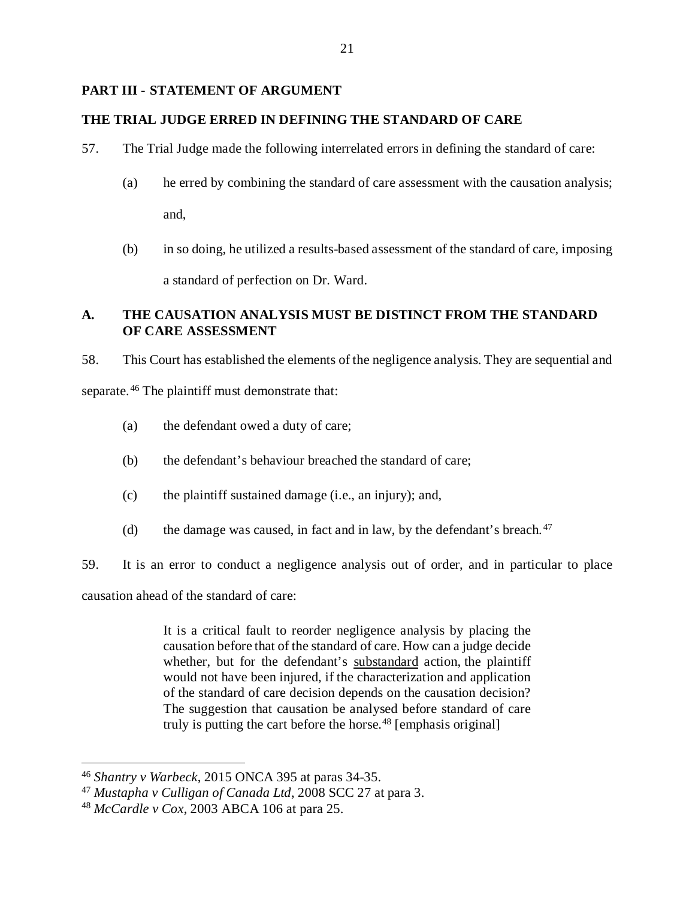## <span id="page-24-0"></span>**PART III - STATEMENT OF ARGUMENT**

## <span id="page-24-1"></span>**THE TRIAL JUDGE ERRED IN DEFINING THE STANDARD OF CARE**

- 57. The Trial Judge made the following interrelated errors in defining the standard of care:
	- (a) he erred by combining the standard of care assessment with the causation analysis; and,
	- (b) in so doing, he utilized a results-based assessment of the standard of care, imposing a standard of perfection on Dr. Ward.

## <span id="page-24-2"></span>**A. THE CAUSATION ANALYSIS MUST BE DISTINCT FROM THE STANDARD OF CARE ASSESSMENT**

58. This Court has established the elements of the negligence analysis. They are sequential and

separate.<sup>[46](#page-24-3)</sup> The plaintiff must demonstrate that:

- (a) the defendant owed a duty of care;
- (b) the defendant's behaviour breached the standard of care;
- (c) the plaintiff sustained damage (i.e., an injury); and,
- (d) the damage was caused, in fact and in law, by the defendant's breach.  $47$

59. It is an error to conduct a negligence analysis out of order, and in particular to place

causation ahead of the standard of care:

It is a critical fault to reorder negligence analysis by placing the causation before that of the standard of care. How can a judge decide whether, but for the defendant's substandard action, the plaintiff would not have been injured, if the characterization and application of the standard of care decision depends on the causation decision? The suggestion that causation be analysed before standard of care truly is putting the cart before the horse.<sup>[48](#page-24-5)</sup> [emphasis original]

<span id="page-24-3"></span> <sup>46</sup> *Shantry v Warbeck*, 2015 ONCA 395 at paras 34-35.

<span id="page-24-4"></span><sup>47</sup> *Mustapha v Culligan of Canada Ltd*, 2008 SCC 27 at para 3.

<span id="page-24-5"></span><sup>48</sup> *McCardle v Cox*, 2003 ABCA 106 at para 25.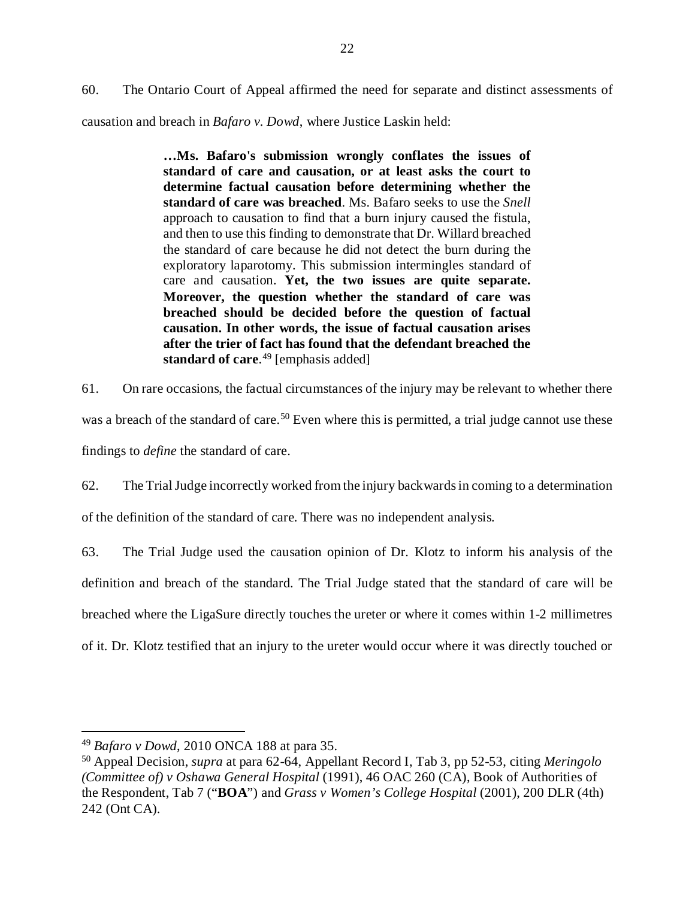60. The Ontario Court of Appeal affirmed the need for separate and distinct assessments of causation and breach in *Bafaro v. Dowd*, where Justice Laskin held:

> **…Ms. Bafaro's submission wrongly conflates the issues of standard of care and causation, or at least asks the court to determine factual causation before determining whether the standard of care was breached**. Ms. Bafaro seeks to use the *[Snell](https://nextcanada.westlaw.com/Link/Document/FullText?findType=Y&pubNum=6407&serNum=1990317749&originationContext=document&transitionType=DocumentItem&contextData=(sc.Default))* approach to causation to find that a burn injury caused the fistula, and then to use this finding to demonstrate that Dr. Willard breached the standard of care because he did not detect the burn during the exploratory laparotomy. This submission intermingles standard of care and causation. **Yet, the two issues are quite separate. Moreover, the question whether the standard of care was breached should be decided before the question of factual causation. In other words, the issue of factual causation arises after the trier of fact has found that the defendant breached the standard of care**. [49](#page-25-0) [emphasis added]

61. On rare occasions, the factual circumstances of the injury may be relevant to whether there was a breach of the standard of care.<sup>[50](#page-25-1)</sup> Even where this is permitted, a trial judge cannot use these findings to *define* the standard of care.

62. The Trial Judge incorrectly worked from the injury backwards in coming to a determination of the definition of the standard of care. There was no independent analysis.

63. The Trial Judge used the causation opinion of Dr. Klotz to inform his analysis of the definition and breach of the standard. The Trial Judge stated that the standard of care will be breached where the LigaSure directly touches the ureter or where it comes within 1-2 millimetres of it. Dr. Klotz testified that an injury to the ureter would occur where it was directly touched or

<span id="page-25-0"></span> <sup>49</sup> *Bafaro v Dowd*, 2010 ONCA 188 at para 35.

<span id="page-25-1"></span><sup>50</sup> Appeal Decision, *supra* at para 62-64, Appellant Record I, Tab 3, pp 52-53, citing *Meringolo (Committee of) v Oshawa General Hospital* (1991), 46 OAC 260 (CA), Book of Authorities of the Respondent, Tab 7 ("**BOA**") and *Grass v Women's College Hospital* (2001), 200 DLR (4th) 242 (Ont CA).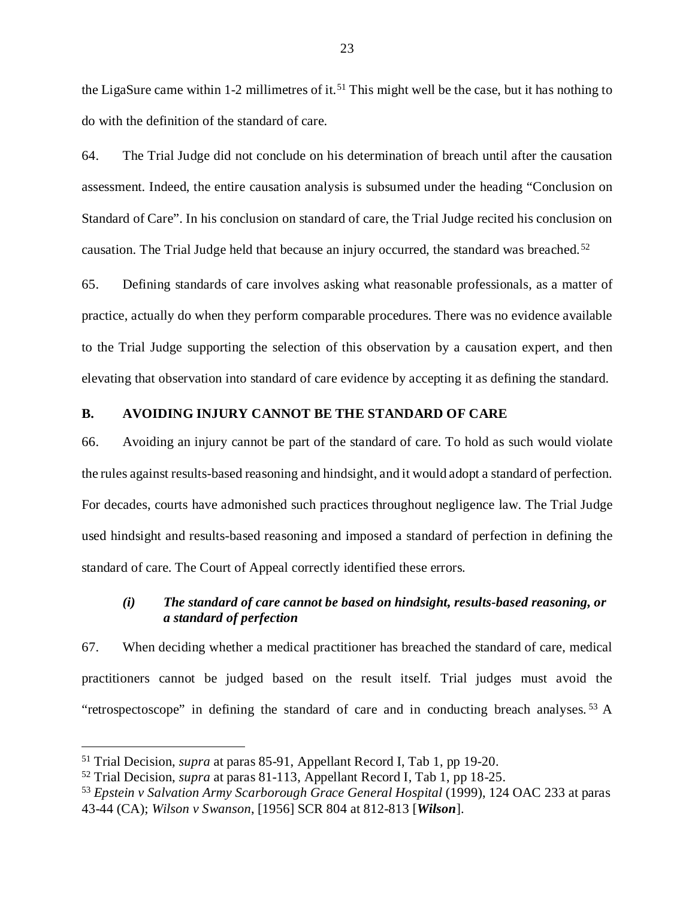the LigaSure came within 1-2 millimetres of it.<sup>[51](#page-26-2)</sup> This might well be the case, but it has nothing to do with the definition of the standard of care.

64. The Trial Judge did not conclude on his determination of breach until after the causation assessment. Indeed, the entire causation analysis is subsumed under the heading "Conclusion on Standard of Care". In his conclusion on standard of care, the Trial Judge recited his conclusion on causation. The Trial Judge held that because an injury occurred, the standard was breached.<sup>[52](#page-26-3)</sup>

65. Defining standards of care involves asking what reasonable professionals, as a matter of practice, actually do when they perform comparable procedures. There was no evidence available to the Trial Judge supporting the selection of this observation by a causation expert, and then elevating that observation into standard of care evidence by accepting it as defining the standard.

## <span id="page-26-0"></span>**B. AVOIDING INJURY CANNOT BE THE STANDARD OF CARE**

66. Avoiding an injury cannot be part of the standard of care. To hold as such would violate the rules against results-based reasoning and hindsight, and it would adopt a standard of perfection. For decades, courts have admonished such practices throughout negligence law. The Trial Judge used hindsight and results-based reasoning and imposed a standard of perfection in defining the standard of care. The Court of Appeal correctly identified these errors.

## <span id="page-26-1"></span>*(i) The standard of care cannot be based on hindsight, results-based reasoning, or a standard of perfection*

67. When deciding whether a medical practitioner has breached the standard of care, medical practitioners cannot be judged based on the result itself. Trial judges must avoid the "retrospectoscope" in defining the standard of care and in conducting breach analyses.<sup>[53](#page-26-4)</sup> A

<span id="page-26-2"></span> <sup>51</sup> Trial Decision, *supra* at paras 85-91, Appellant Record I, Tab 1, pp 19-20.

<span id="page-26-3"></span><sup>52</sup> Trial Decision, *supra* at paras 81-113, Appellant Record I, Tab 1, pp 18-25.

<span id="page-26-4"></span><sup>53</sup> *Epstein v Salvation Army Scarborough Grace General Hospital* (1999), 124 OAC 233 at paras 43-44 (CA); *Wilson v Swanson*, [1956] SCR 804 at 812-813 [*Wilson*].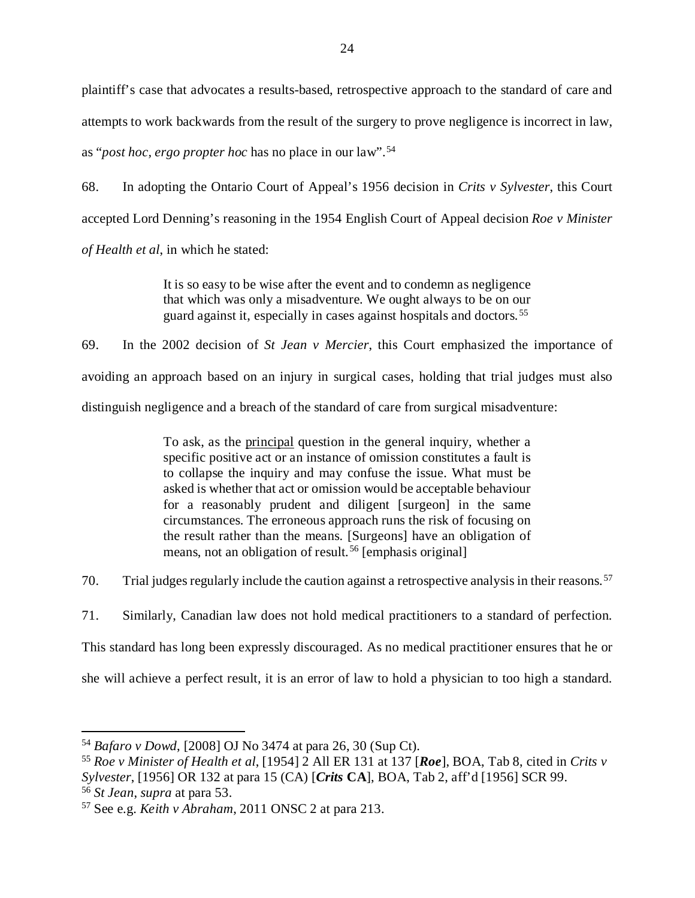plaintiff's case that advocates a results-based, retrospective approach to the standard of care and attempts to work backwards from the result of the surgery to prove negligence is incorrect in law, as "*post hoc, ergo propter hoc* has no place in our law".[54](#page-27-0)

68. In adopting the Ontario Court of Appeal's 1956 decision in *Crits v Sylvester*, this Court accepted Lord Denning's reasoning in the 1954 English Court of Appeal decision *Roe v Minister of Health et al*, in which he stated:

> It is so easy to be wise after the event and to condemn as negligence that which was only a misadventure. We ought always to be on our guard against it, especially in cases against hospitals and doctors. [55](#page-27-1)

69. In the 2002 decision of *St Jean v Mercier*, this Court emphasized the importance of avoiding an approach based on an injury in surgical cases, holding that trial judges must also distinguish negligence and a breach of the standard of care from surgical misadventure:

> To ask, as the principal question in the general inquiry, whether a specific positive act or an instance of omission constitutes a fault is to collapse the inquiry and may confuse the issue. What must be asked is whether that act or omission would be acceptable behaviour for a reasonably prudent and diligent [surgeon] in the same circumstances. The erroneous approach runs the risk of focusing on the result rather than the means. [Surgeons] have an obligation of means, not an obligation of result. [56](#page-27-2) [emphasis original]

70. Trial judges regularly include the caution against a retrospective analysis in their reasons. [57](#page-27-3)

71. Similarly, Canadian law does not hold medical practitioners to a standard of perfection.

This standard has long been expressly discouraged. As no medical practitioner ensures that he or

she will achieve a perfect result, it is an error of law to hold a physician to too high a standard.

<span id="page-27-0"></span> <sup>54</sup> *Bafaro v Dowd*, [2008] OJ No 3474 at para 26, 30 (Sup Ct).

<span id="page-27-1"></span><sup>55</sup> *Roe v Minister of Health et al*, [1954] 2 All ER 131 at 137 [*Roe*], BOA, Tab 8, cited in *Crits v Sylvester*, [1956] OR 132 at para 15 (CA) [*Crits* **CA**], BOA, Tab 2, aff'd [1956] SCR 99.

<span id="page-27-2"></span><sup>56</sup> *St Jean*, *supra* at para 53.

<span id="page-27-3"></span><sup>57</sup> See e.g. *Keith v Abraham*, 2011 ONSC 2 at para 213.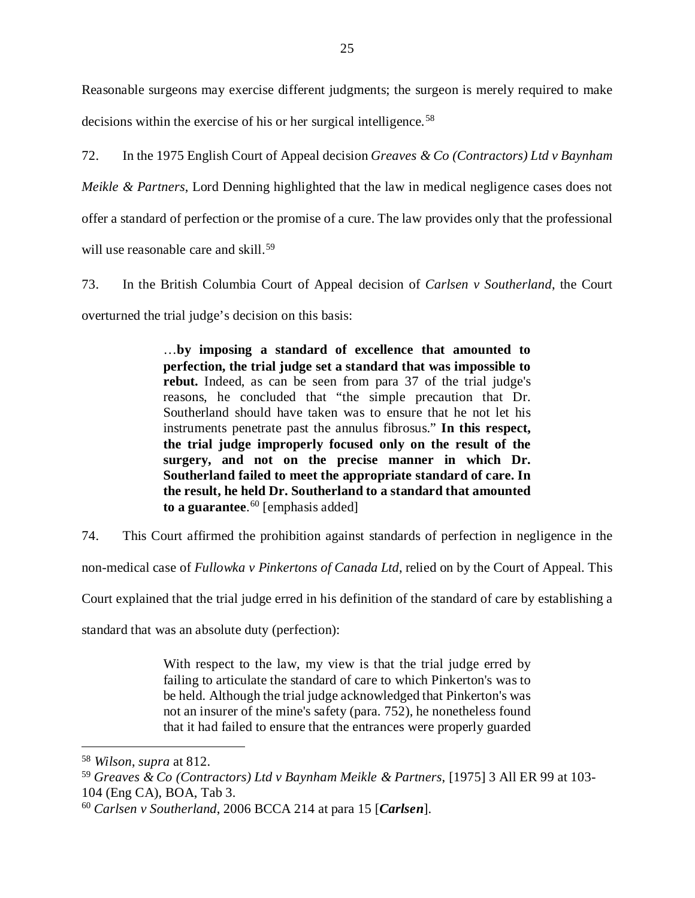Reasonable surgeons may exercise different judgments; the surgeon is merely required to make decisions within the exercise of his or her surgical intelligence. [58](#page-28-0)

72. In the 1975 English Court of Appeal decision *Greaves & Co (Contractors) Ltd v Baynham Meikle & Partners*, Lord Denning highlighted that the law in medical negligence cases does not offer a standard of perfection or the promise of a cure. The law provides only that the professional will use reasonable care and skill.<sup>[59](#page-28-1)</sup>

73. In the British Columbia Court of Appeal decision of *Carlsen v Southerland*, the Court overturned the trial judge's decision on this basis:

> …**by imposing a standard of excellence that amounted to perfection, the trial judge set a standard that was impossible to rebut.** Indeed, as can be seen from para 37 of the trial judge's reasons, he concluded that "the simple precaution that Dr. Southerland should have taken was to ensure that he not let his instruments penetrate past the annulus fibrosus." **In this respect, the trial judge improperly focused only on the result of the surgery, and not on the precise manner in which Dr. Southerland failed to meet the appropriate standard of care. In the result, he held Dr. Southerland to a standard that amounted to a guarantee**. [60](#page-28-2) [emphasis added]

74. This Court affirmed the prohibition against standards of perfection in negligence in the

non-medical case of *Fullowka v Pinkertons of Canada Ltd*, relied on by the Court of Appeal. This

Court explained that the trial judge erred in his definition of the standard of care by establishing a

standard that was an absolute duty (perfection):

With respect to the law, my view is that the trial judge erred by failing to articulate the standard of care to which Pinkerton's was to be held. Although the trial judge acknowledged that Pinkerton's was not an insurer of the mine's safety (para. 752), he nonetheless found that it had failed to ensure that the entrances were properly guarded

<span id="page-28-0"></span> <sup>58</sup> *Wilson*, *supra* at 812.

<span id="page-28-1"></span><sup>59</sup> *Greaves & Co (Contractors) Ltd v Baynham Meikle & Partners*, [1975] 3 All ER 99 at 103- 104 (Eng CA), BOA, Tab 3.

<span id="page-28-2"></span><sup>60</sup> *Carlsen v Southerland*, 2006 BCCA 214 at para 15 [*Carlsen*].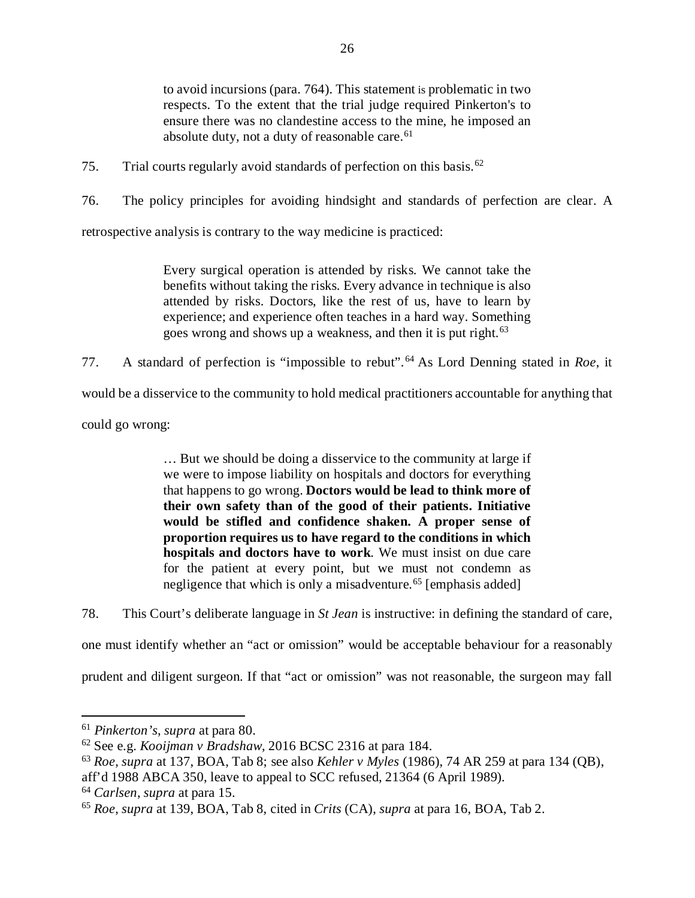to avoid incursions (para. 764). This statement is problematic in two respects. To the extent that the trial judge required Pinkerton's to ensure there was no clandestine access to the mine, he imposed an absolute duty, not a duty of reasonable care.<sup>[61](#page-29-0)</sup>

75. Trial courts regularly avoid standards of perfection on this basis.[62](#page-29-1)

76. The policy principles for avoiding hindsight and standards of perfection are clear. A

retrospective analysis is contrary to the way medicine is practiced:

Every surgical operation is attended by risks. We cannot take the benefits without taking the risks. Every advance in technique is also attended by risks. Doctors, like the rest of us, have to learn by experience; and experience often teaches in a hard way. Something goes wrong and shows up a weakness, and then it is put right.<sup>[63](#page-29-2)</sup>

77. A standard of perfection is "impossible to rebut". [64](#page-29-3) As Lord Denning stated in *Roe*, it

would be a disservice to the community to hold medical practitioners accountable for anything that

could go wrong:

… But we should be doing a disservice to the community at large if we were to impose liability on hospitals and doctors for everything that happens to go wrong. **Doctors would be lead to think more of their own safety than of the good of their patients. Initiative would be stifled and confidence shaken. A proper sense of proportion requires us to have regard to the conditions in which hospitals and doctors have to work**. We must insist on due care for the patient at every point, but we must not condemn as negligence that which is only a misadventure.<sup>[65](#page-29-4)</sup> [emphasis added]

78. This Court's deliberate language in *St Jean* is instructive: in defining the standard of care,

one must identify whether an "act or omission" would be acceptable behaviour for a reasonably

prudent and diligent surgeon. If that "act or omission" was not reasonable, the surgeon may fall

<span id="page-29-0"></span> <sup>61</sup> *Pinkerton's*, *supra* at para 80.

<span id="page-29-1"></span><sup>62</sup> See e.g. *Kooijman v Bradshaw*, 2016 BCSC 2316 at para 184.

<span id="page-29-2"></span><sup>63</sup> *Roe*, *supra* at 137, BOA, Tab 8; see also *Kehler v Myles* (1986), 74 AR 259 at para 134 (QB), aff'd 1988 ABCA 350, leave to appeal to SCC refused, 21364 (6 April 1989).

<span id="page-29-3"></span><sup>64</sup> *Carlsen*, *supra* at para 15.

<span id="page-29-4"></span><sup>65</sup> *Roe*, *supra* at 139, BOA, Tab 8, cited in *Crits* (CA), *supra* at para 16, BOA, Tab 2.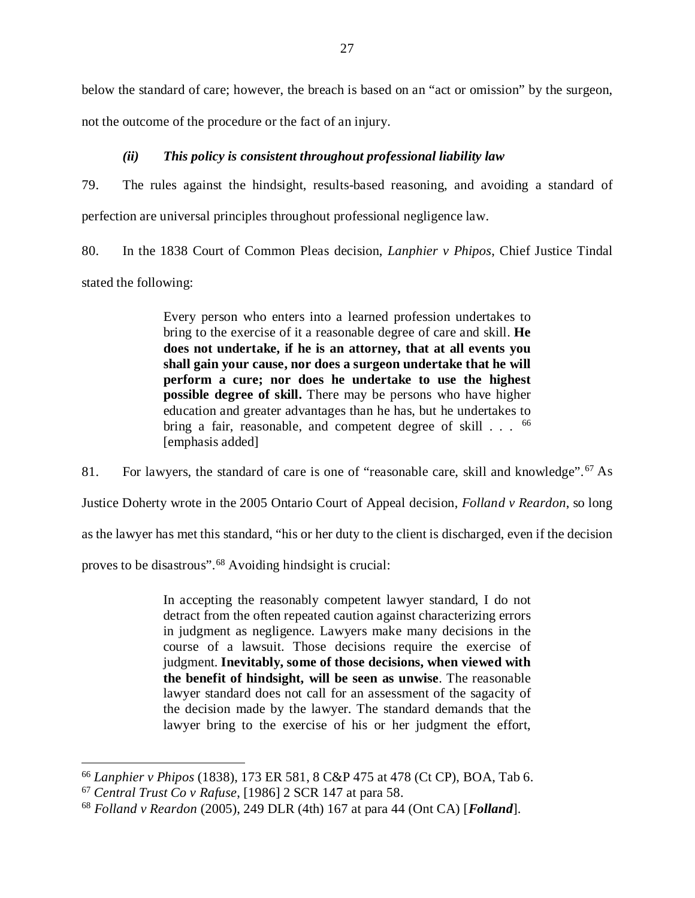below the standard of care; however, the breach is based on an "act or omission" by the surgeon,

not the outcome of the procedure or the fact of an injury.

## *(ii) This policy is consistent throughout professional liability law*

<span id="page-30-0"></span>79. The rules against the hindsight, results-based reasoning, and avoiding a standard of perfection are universal principles throughout professional negligence law.

80. In the 1838 Court of Common Pleas decision, *Lanphier v Phipos*, Chief Justice Tindal stated the following:

> Every person who enters into a learned profession undertakes to bring to the exercise of it a reasonable degree of care and skill. **He does not undertake, if he is an attorney, that at all events you shall gain your cause, nor does a surgeon undertake that he will perform a cure; nor does he undertake to use the highest possible degree of skill.** There may be persons who have higher education and greater advantages than he has, but he undertakes to bring a fair, reasonable, and competent degree of skill . . . <sup>[66](#page-30-1)</sup> [emphasis added]

81. For lawyers, the standard of care is one of "reasonable care, skill and knowledge".<sup>[67](#page-30-2)</sup> As Justice Doherty wrote in the 2005 Ontario Court of Appeal decision, *Folland v Reardon*, so long as the lawyer has met this standard, "his or her duty to the client is discharged, even if the decision

proves to be disastrous".<sup>[68](#page-30-3)</sup> Avoiding hindsight is crucial:

In accepting the reasonably competent lawyer standard, I do not detract from the often repeated caution against characterizing errors in judgment as negligence. Lawyers make many decisions in the course of a lawsuit. Those decisions require the exercise of judgment. **Inevitably, some of those decisions, when viewed with the benefit of hindsight, will be seen as unwise**. The reasonable lawyer standard does not call for an assessment of the sagacity of the decision made by the lawyer. The standard demands that the lawyer bring to the exercise of his or her judgment the effort,

<span id="page-30-1"></span> <sup>66</sup> *Lanphier v Phipos* (1838), 173 ER 581, 8 C&P 475 at 478 (Ct CP), BOA, Tab 6.

<span id="page-30-2"></span><sup>67</sup> *Central Trust Co v Rafuse*, [1986] 2 SCR 147 at para 58.

<span id="page-30-3"></span><sup>68</sup> *Folland v Reardon* (2005), 249 DLR (4th) 167 at para 44 (Ont CA) [*Folland*].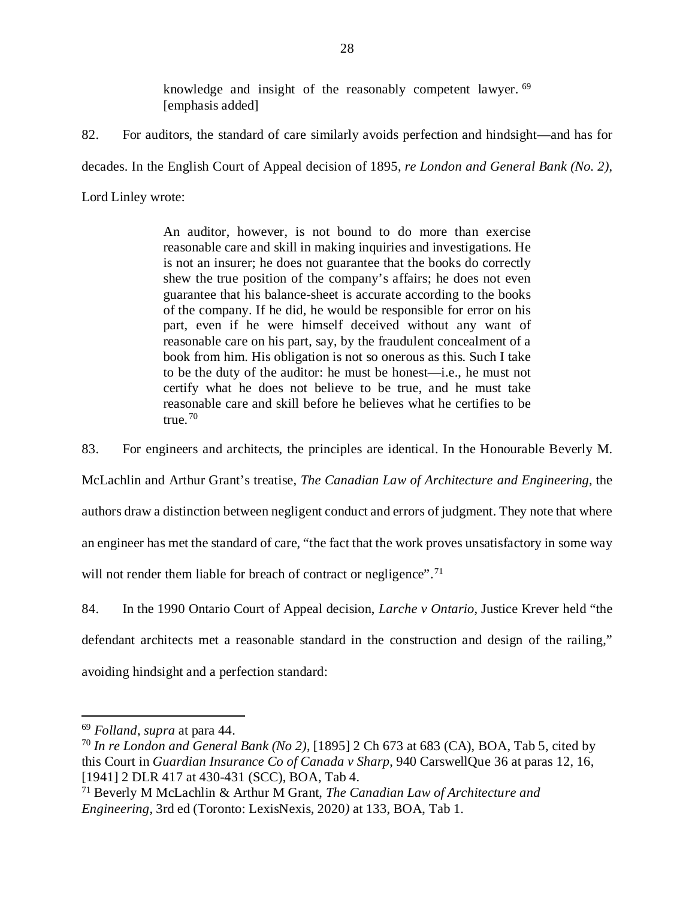knowledge and insight of the reasonably competent lawyer. <sup>[69](#page-31-0)</sup> [emphasis added]

82. For auditors, the standard of care similarly avoids perfection and hindsight—and has for decades. In the English Court of Appeal decision of 1895, *re London and General Bank (No. 2)*, Lord Linley wrote:

> An auditor, however, is not bound to do more than exercise reasonable care and skill in making inquiries and investigations. He is not an insurer; he does not guarantee that the books do correctly shew the true position of the company's affairs; he does not even guarantee that his balance-sheet is accurate according to the books of the company. If he did, he would be responsible for error on his part, even if he were himself deceived without any want of reasonable care on his part, say, by the fraudulent concealment of a book from him. His obligation is not so onerous as this. Such I take to be the duty of the auditor: he must be honest—i.e., he must not certify what he does not believe to be true, and he must take reasonable care and skill before he believes what he certifies to be true. $70$

83. For engineers and architects, the principles are identical. In the Honourable Beverly M.

McLachlin and Arthur Grant's treatise, *The Canadian Law of Architecture and Engineering*, the

authors draw a distinction between negligent conduct and errors of judgment. They note that where

an engineer has met the standard of care, "the fact that the work proves unsatisfactory in some way

will not render them liable for breach of contract or negligence".<sup>[71](#page-31-2)</sup>

84. In the 1990 Ontario Court of Appeal decision, *Larche v Ontario*, Justice Krever held "the defendant architects met a reasonable standard in the construction and design of the railing," avoiding hindsight and a perfection standard:

<span id="page-31-0"></span> <sup>69</sup> *Folland*, *supra* at para 44.

<span id="page-31-1"></span><sup>70</sup> *In re London and General Bank (No 2)*, [1895] 2 Ch 673 at 683 (CA), BOA, Tab 5, cited by this Court in *Guardian Insurance Co of Canada v Sharp*, 940 CarswellQue 36 at paras 12, 16, [1941] 2 DLR 417 at 430-431 (SCC), BOA, Tab 4.

<span id="page-31-2"></span><sup>71</sup> Beverly M McLachlin & Arthur M Grant, *The Canadian Law of Architecture and Engineering*, 3rd ed (Toronto: LexisNexis, 2020*)* at 133, BOA, Tab 1.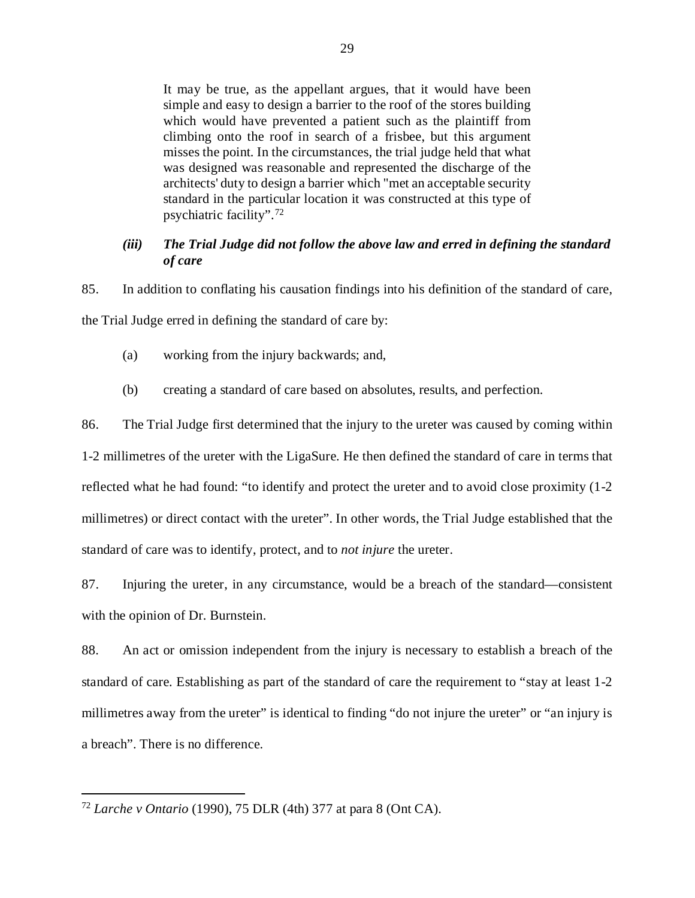It may be true, as the appellant argues, that it would have been simple and easy to design a barrier to the roof of the stores building which would have prevented a patient such as the plaintiff from climbing onto the roof in search of a frisbee, but this argument misses the point. In the circumstances, the trial judge held that what was designed was reasonable and represented the discharge of the architects' duty to design a barrier which "met an acceptable security standard in the particular location it was constructed at this type of psychiatric facility". [72](#page-32-1)

## <span id="page-32-0"></span>*(iii) The Trial Judge did not follow the above law and erred in defining the standard of care*

85. In addition to conflating his causation findings into his definition of the standard of care, the Trial Judge erred in defining the standard of care by:

- (a) working from the injury backwards; and,
- (b) creating a standard of care based on absolutes, results, and perfection.

86. The Trial Judge first determined that the injury to the ureter was caused by coming within

1-2 millimetres of the ureter with the LigaSure. He then defined the standard of care in terms that reflected what he had found: "to identify and protect the ureter and to avoid close proximity (1-2 millimetres) or direct contact with the ureter". In other words, the Trial Judge established that the standard of care was to identify, protect, and to *not injure* the ureter.

87. Injuring the ureter, in any circumstance, would be a breach of the standard—consistent with the opinion of Dr. Burnstein.

88. An act or omission independent from the injury is necessary to establish a breach of the standard of care. Establishing as part of the standard of care the requirement to "stay at least 1-2 millimetres away from the ureter" is identical to finding "do not injure the ureter" or "an injury is a breach". There is no difference.

<span id="page-32-1"></span> <sup>72</sup> *Larche v Ontario* (1990), 75 DLR (4th) 377 at para 8 (Ont CA).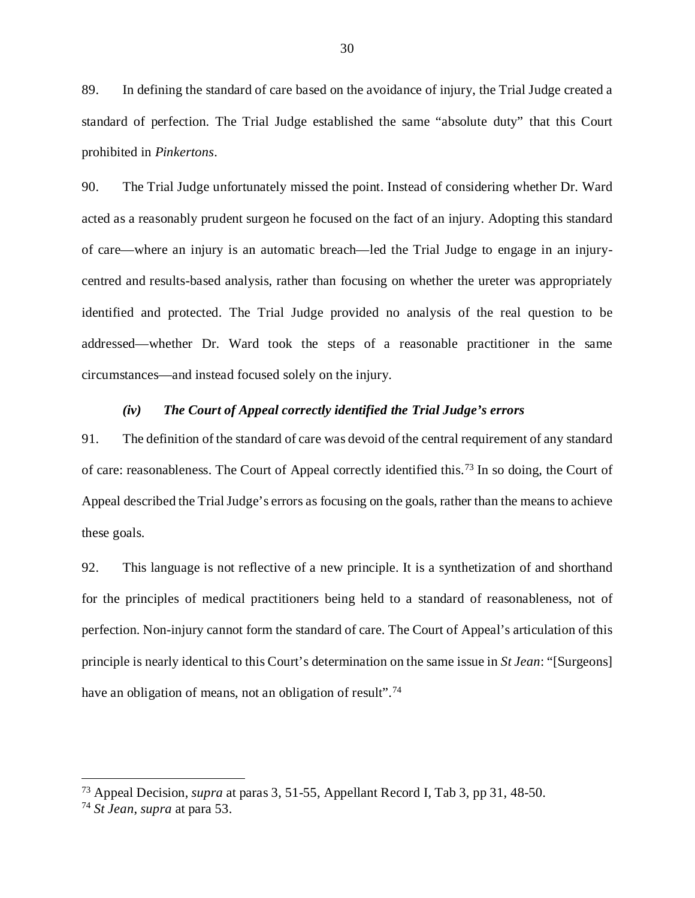89. In defining the standard of care based on the avoidance of injury, the Trial Judge created a standard of perfection. The Trial Judge established the same "absolute duty" that this Court prohibited in *Pinkertons*.

90. The Trial Judge unfortunately missed the point. Instead of considering whether Dr. Ward acted as a reasonably prudent surgeon he focused on the fact of an injury. Adopting this standard of care—where an injury is an automatic breach—led the Trial Judge to engage in an injurycentred and results-based analysis, rather than focusing on whether the ureter was appropriately identified and protected. The Trial Judge provided no analysis of the real question to be addressed—whether Dr. Ward took the steps of a reasonable practitioner in the same circumstances—and instead focused solely on the injury.

#### *(iv) The Court of Appeal correctly identified the Trial Judge's errors*

<span id="page-33-0"></span>91. The definition of the standard of care was devoid of the central requirement of any standard of care: reasonableness. The Court of Appeal correctly identified this.[73](#page-33-1) In so doing, the Court of Appeal described the Trial Judge's errors as focusing on the goals, rather than the means to achieve these goals.

92. This language is not reflective of a new principle. It is a synthetization of and shorthand for the principles of medical practitioners being held to a standard of reasonableness, not of perfection. Non-injury cannot form the standard of care. The Court of Appeal's articulation of this principle is nearly identical to this Court's determination on the same issue in *St Jean*: "[Surgeons] have an obligation of means, not an obligation of result".<sup>[74](#page-34-0)</sup>

 <sup>73</sup> Appeal Decision, *supra* at paras 3, 51-55, Appellant Record I, Tab 3, pp 31, 48-50.

<span id="page-33-1"></span><sup>74</sup> *St Jean*, *supra* at para 53.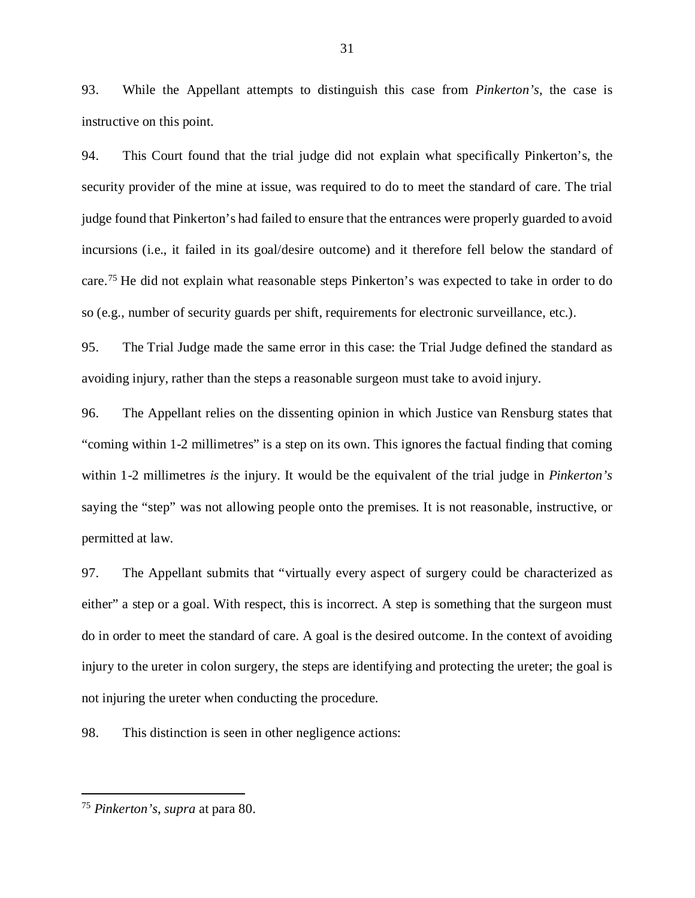93. While the Appellant attempts to distinguish this case from *Pinkerton's*, the case is instructive on this point.

94. This Court found that the trial judge did not explain what specifically Pinkerton's, the security provider of the mine at issue, was required to do to meet the standard of care. The trial judge found that Pinkerton's had failed to ensure that the entrances were properly guarded to avoid incursions (i.e., it failed in its goal/desire outcome) and it therefore fell below the standard of care.[75](#page-34-1) He did not explain what reasonable steps Pinkerton's was expected to take in order to do so (e.g., number of security guards per shift, requirements for electronic surveillance, etc.).

95. The Trial Judge made the same error in this case: the Trial Judge defined the standard as avoiding injury, rather than the steps a reasonable surgeon must take to avoid injury.

96. The Appellant relies on the dissenting opinion in which Justice van Rensburg states that "coming within 1-2 millimetres" is a step on its own. This ignores the factual finding that coming within 1-2 millimetres *is* the injury. It would be the equivalent of the trial judge in *Pinkerton's* saying the "step" was not allowing people onto the premises. It is not reasonable, instructive, or permitted at law.

97. The Appellant submits that "virtually every aspect of surgery could be characterized as either" a step or a goal. With respect, this is incorrect. A step is something that the surgeon must do in order to meet the standard of care. A goal is the desired outcome. In the context of avoiding injury to the ureter in colon surgery, the steps are identifying and protecting the ureter; the goal is not injuring the ureter when conducting the procedure.

98. This distinction is seen in other negligence actions:

<span id="page-34-1"></span><span id="page-34-0"></span> <sup>75</sup> *Pinkerton's*, *supra* at para 80.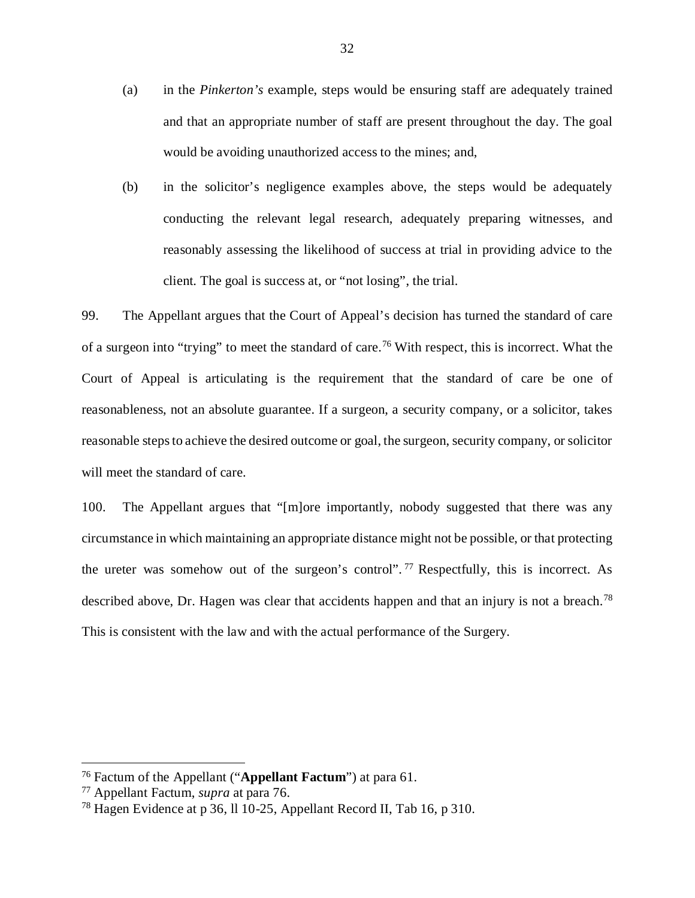- (a) in the *Pinkerton's* example, steps would be ensuring staff are adequately trained and that an appropriate number of staff are present throughout the day. The goal would be avoiding unauthorized access to the mines; and,
- (b) in the solicitor's negligence examples above, the steps would be adequately conducting the relevant legal research, adequately preparing witnesses, and reasonably assessing the likelihood of success at trial in providing advice to the client. The goal is success at, or "not losing", the trial.

99. The Appellant argues that the Court of Appeal's decision has turned the standard of care of a surgeon into "trying" to meet the standard of care.<sup>[76](#page-35-0)</sup> With respect, this is incorrect. What the Court of Appeal is articulating is the requirement that the standard of care be one of reasonableness, not an absolute guarantee. If a surgeon, a security company, or a solicitor, takes reasonable steps to achieve the desired outcome or goal, the surgeon, security company, or solicitor will meet the standard of care.

100. The Appellant argues that "[m]ore importantly, nobody suggested that there was any circumstance in which maintaining an appropriate distance might not be possible, or that protecting the ureter was somehow out of the surgeon's control". <sup>[77](#page-35-1)</sup> Respectfully, this is incorrect. As described above, Dr. Hagen was clear that accidents happen and that an injury is not a breach.<sup>[78](#page-36-1)</sup> This is consistent with the law and with the actual performance of the Surgery.

 <sup>76</sup> Factum of the Appellant ("**Appellant Factum**") at para 61.

<span id="page-35-0"></span><sup>77</sup> Appellant Factum, *supra* at para 76.

<span id="page-35-1"></span><sup>78</sup> Hagen Evidence at p 36, ll 10-25, Appellant Record II, Tab 16, p 310.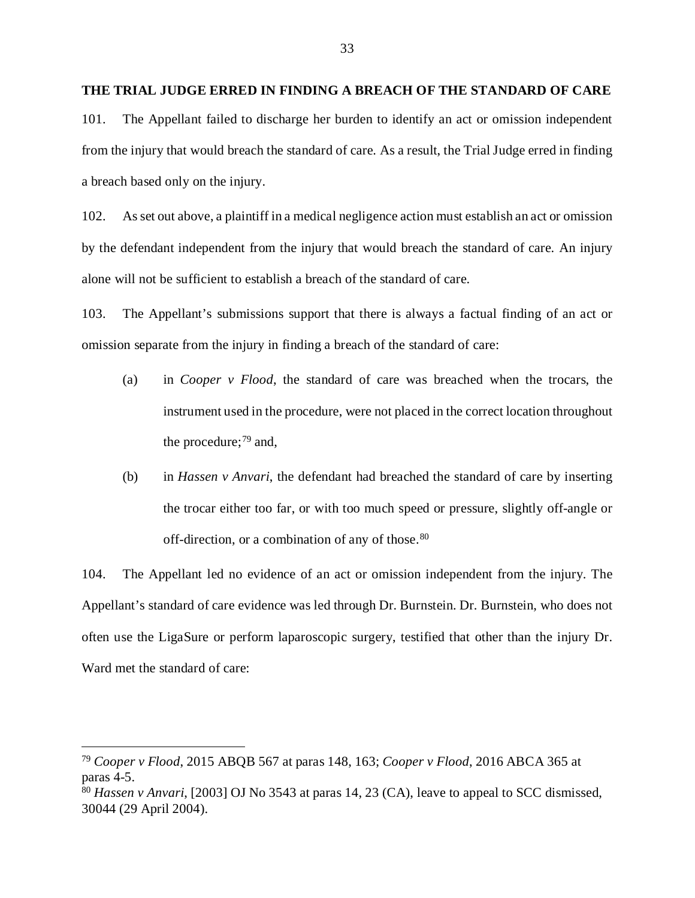## <span id="page-36-0"></span>**THE TRIAL JUDGE ERRED IN FINDING A BREACH OF THE STANDARD OF CARE**

101. The Appellant failed to discharge her burden to identify an act or omission independent from the injury that would breach the standard of care. As a result, the Trial Judge erred in finding a breach based only on the injury.

102. As set out above, a plaintiff in a medical negligence action must establish an act or omission by the defendant independent from the injury that would breach the standard of care. An injury alone will not be sufficient to establish a breach of the standard of care.

103. The Appellant's submissions support that there is always a factual finding of an act or omission separate from the injury in finding a breach of the standard of care:

- (a) in *Cooper v Flood*, the standard of care was breached when the trocars, the instrument used in the procedure, were not placed in the correct location throughout the procedure; $^{79}$  $^{79}$  $^{79}$  and,
- (b) in *Hassen v Anvari*, the defendant had breached the standard of care by inserting the trocar either too far, or with too much speed or pressure, slightly off-angle or off-direction, or a combination of any of those.<sup>[80](#page-36-3)</sup>

104. The Appellant led no evidence of an act or omission independent from the injury. The Appellant's standard of care evidence was led through Dr. Burnstein. Dr. Burnstein, who does not often use the LigaSure or perform laparoscopic surgery, testified that other than the injury Dr. Ward met the standard of care:

<span id="page-36-2"></span><span id="page-36-1"></span> <sup>79</sup> *Cooper v Flood*, 2015 ABQB 567 at paras 148, 163; *Cooper v Flood*, 2016 ABCA 365 at paras 4-5.

<span id="page-36-3"></span><sup>&</sup>lt;sup>80</sup> *Hassen v Anvari*, [2003] OJ No 3543 at paras 14, 23 (CA), leave to appeal to SCC dismissed, 30044 (29 April 2004).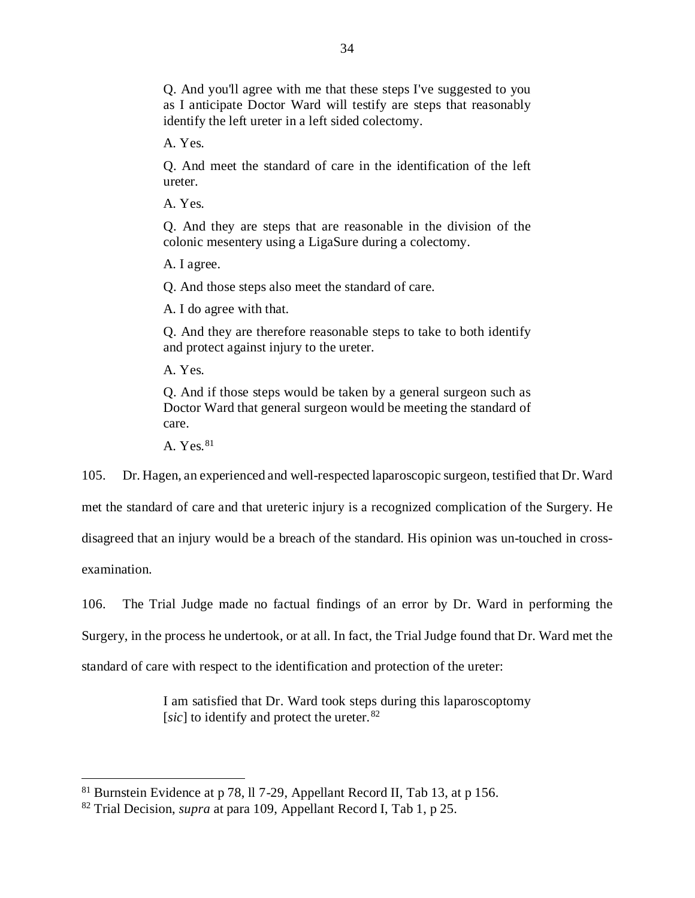Q. And you'll agree with me that these steps I've suggested to you as I anticipate Doctor Ward will testify are steps that reasonably identify the left ureter in a left sided colectomy.

A. Yes.

Q. And meet the standard of care in the identification of the left ureter.

A. Yes.

Q. And they are steps that are reasonable in the division of the colonic mesentery using a LigaSure during a colectomy.

A. I agree.

Q. And those steps also meet the standard of care.

A. I do agree with that.

Q. And they are therefore reasonable steps to take to both identify and protect against injury to the ureter.

A. Yes.

Q. And if those steps would be taken by a general surgeon such as Doctor Ward that general surgeon would be meeting the standard of care.

A. Yes. [81](#page-37-0)

105. Dr. Hagen, an experienced and well-respected laparoscopic surgeon, testified that Dr. Ward

met the standard of care and that ureteric injury is a recognized complication of the Surgery. He

disagreed that an injury would be a breach of the standard. His opinion was un-touched in cross-

examination.

106. The Trial Judge made no factual findings of an error by Dr. Ward in performing the Surgery, in the process he undertook, or at all. In fact, the Trial Judge found that Dr. Ward met the standard of care with respect to the identification and protection of the ureter:

> I am satisfied that Dr. Ward took steps during this laparoscoptomy [*sic*] to identify and protect the ureter. <sup>[82](#page-38-0)</sup>

 <sup>81</sup> Burnstein Evidence at p 78, ll 7-29, Appellant Record II, Tab 13, at p 156.

<span id="page-37-0"></span><sup>82</sup> Trial Decision, *supra* at para 109, Appellant Record I, Tab 1, p 25.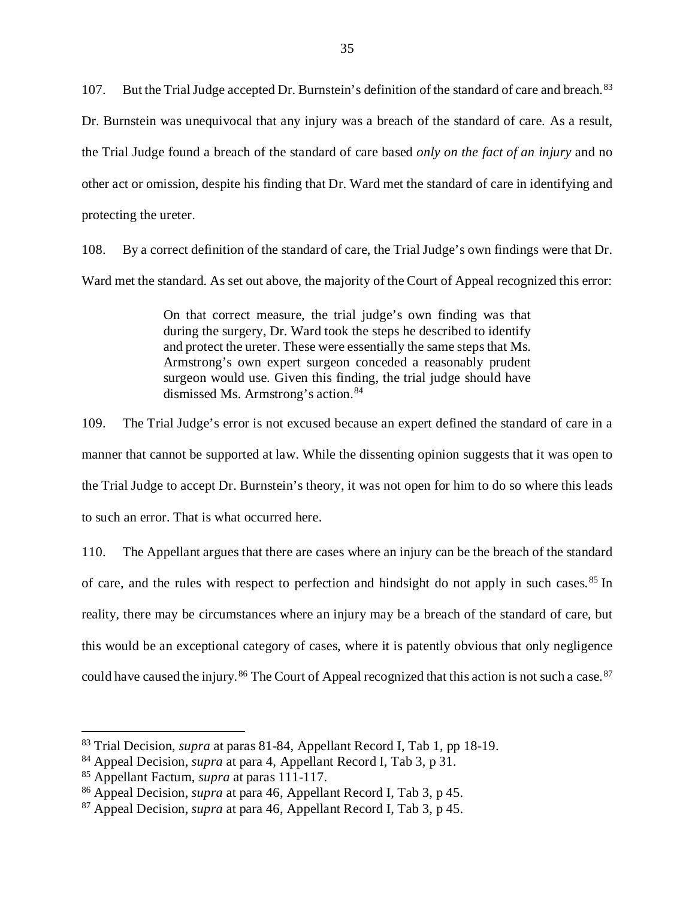107. But the Trial Judge accepted Dr. Burnstein's definition of the standard of care and breach.<sup>[83](#page-38-1)</sup> Dr. Burnstein was unequivocal that any injury was a breach of the standard of care. As a result, the Trial Judge found a breach of the standard of care based *only on the fact of an injury* and no other act or omission, despite his finding that Dr. Ward met the standard of care in identifying and protecting the ureter.

108. By a correct definition of the standard of care, the Trial Judge's own findings were that Dr. Ward met the standard. As set out above, the majority of the Court of Appeal recognized this error:

> On that correct measure, the trial judge's own finding was that during the surgery, Dr. Ward took the steps he described to identify and protect the ureter. These were essentially the same steps that Ms. Armstrong's own expert surgeon conceded a reasonably prudent surgeon would use. Given this finding, the trial judge should have dismissed Ms. Armstrong's action.<sup>[84](#page-38-2)</sup>

109. The Trial Judge's error is not excused because an expert defined the standard of care in a manner that cannot be supported at law. While the dissenting opinion suggests that it was open to the Trial Judge to accept Dr. Burnstein's theory, it was not open for him to do so where this leads to such an error. That is what occurred here.

110. The Appellant argues that there are cases where an injury can be the breach of the standard of care, and the rules with respect to perfection and hindsight do not apply in such cases. [85](#page-38-3) In reality, there may be circumstances where an injury may be a breach of the standard of care, but this would be an exceptional category of cases, where it is patently obvious that only negligence could have caused the injury.<sup>[86](#page-39-1)</sup> The Court of Appeal recognized that this action is not such a case.<sup>[87](#page-39-2)</sup>

 <sup>83</sup> Trial Decision, *supra* at paras 81-84, Appellant Record I, Tab 1, pp 18-19.

<span id="page-38-0"></span><sup>84</sup> Appeal Decision, *supra* at para 4, Appellant Record I, Tab 3, p 31.

<span id="page-38-1"></span><sup>85</sup> Appellant Factum, *supra* at paras 111-117.

<span id="page-38-2"></span><sup>86</sup> Appeal Decision, *supra* at para 46, Appellant Record I, Tab 3, p 45.

<span id="page-38-3"></span><sup>87</sup> Appeal Decision, *supra* at para 46, Appellant Record I, Tab 3, p 45.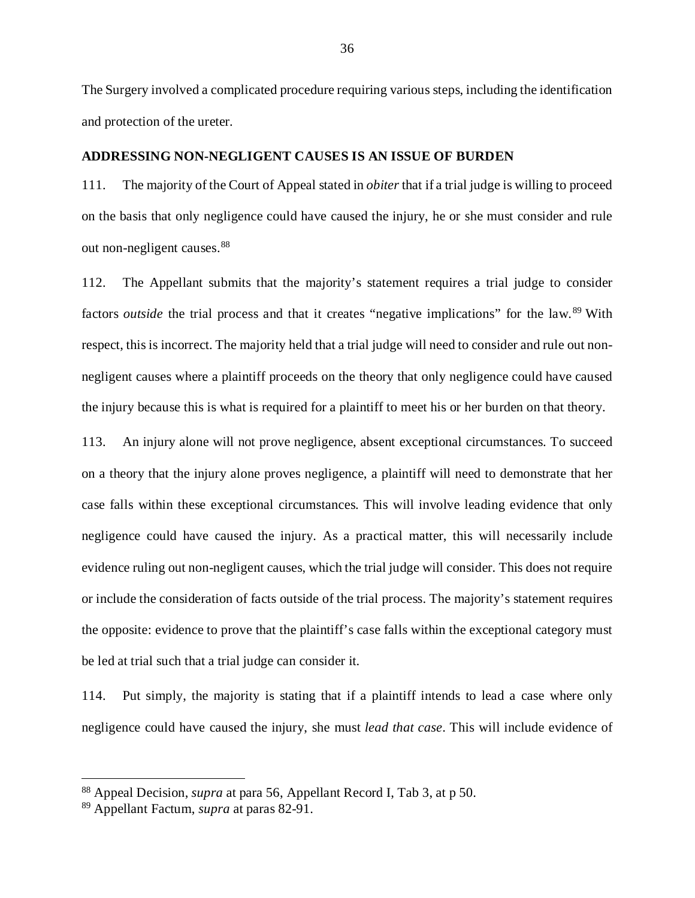The Surgery involved a complicated procedure requiring various steps, including the identification and protection of the ureter.

### <span id="page-39-0"></span>**ADDRESSING NON-NEGLIGENT CAUSES IS AN ISSUE OF BURDEN**

111. The majority of the Court of Appeal stated in *obiter* that if a trial judge is willing to proceed on the basis that only negligence could have caused the injury, he or she must consider and rule out non-negligent causes.<sup>[88](#page-39-3)</sup>

112. The Appellant submits that the majority's statement requires a trial judge to consider factors *outside* the trial process and that it creates "negative implications" for the law.<sup>[89](#page-39-4)</sup> With respect, this is incorrect. The majority held that a trial judge will need to consider and rule out nonnegligent causes where a plaintiff proceeds on the theory that only negligence could have caused the injury because this is what is required for a plaintiff to meet his or her burden on that theory.

113. An injury alone will not prove negligence, absent exceptional circumstances. To succeed on a theory that the injury alone proves negligence, a plaintiff will need to demonstrate that her case falls within these exceptional circumstances. This will involve leading evidence that only negligence could have caused the injury. As a practical matter, this will necessarily include evidence ruling out non-negligent causes, which the trial judge will consider. This does not require or include the consideration of facts outside of the trial process. The majority's statement requires the opposite: evidence to prove that the plaintiff's case falls within the exceptional category must be led at trial such that a trial judge can consider it.

114. Put simply, the majority is stating that if a plaintiff intends to lead a case where only negligence could have caused the injury, she must *lead that case*. This will include evidence of

<span id="page-39-3"></span><span id="page-39-2"></span><span id="page-39-1"></span> <sup>88</sup> Appeal Decision, *supra* at para 56, Appellant Record I, Tab 3, at p 50.

<span id="page-39-4"></span><sup>89</sup> Appellant Factum, *supra* at paras 82-91.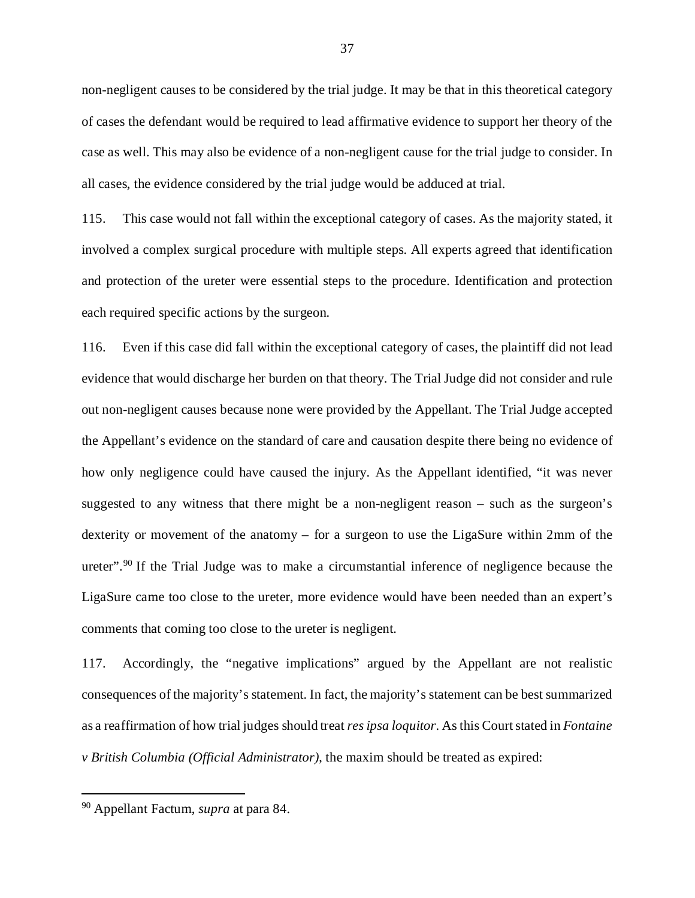non-negligent causes to be considered by the trial judge. It may be that in this theoretical category of cases the defendant would be required to lead affirmative evidence to support her theory of the case as well. This may also be evidence of a non-negligent cause for the trial judge to consider. In all cases, the evidence considered by the trial judge would be adduced at trial.

115. This case would not fall within the exceptional category of cases. As the majority stated, it involved a complex surgical procedure with multiple steps. All experts agreed that identification and protection of the ureter were essential steps to the procedure. Identification and protection each required specific actions by the surgeon.

116. Even if this case did fall within the exceptional category of cases, the plaintiff did not lead evidence that would discharge her burden on that theory. The Trial Judge did not consider and rule out non-negligent causes because none were provided by the Appellant. The Trial Judge accepted the Appellant's evidence on the standard of care and causation despite there being no evidence of how only negligence could have caused the injury. As the Appellant identified, "it was never suggested to any witness that there might be a non-negligent reason – such as the surgeon's dexterity or movement of the anatomy – for a surgeon to use the LigaSure within 2mm of the ureter".<sup>[90](#page-40-0)</sup> If the Trial Judge was to make a circumstantial inference of negligence because the LigaSure came too close to the ureter, more evidence would have been needed than an expert's comments that coming too close to the ureter is negligent.

117. Accordingly, the "negative implications" argued by the Appellant are not realistic consequences of the majority's statement. In fact, the majority's statement can be best summarized as a reaffirmation of how trial judges should treat *res ipsa loquitor*. As this Court stated in *Fontaine v British Columbia (Official Administrator)*, the maxim should be treated as expired:

<span id="page-40-0"></span> <sup>90</sup> Appellant Factum, *supra* at para 84.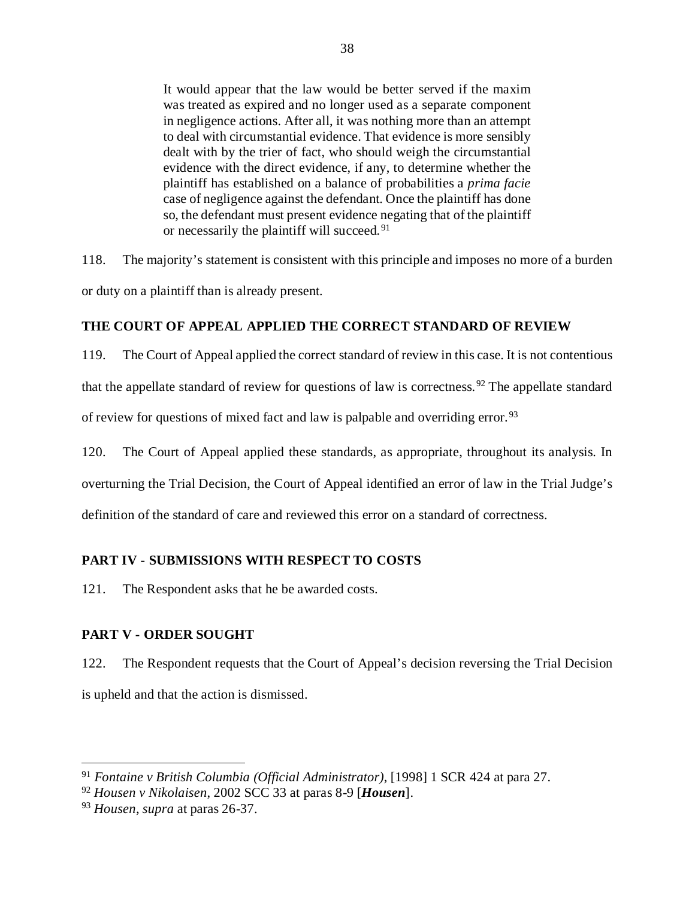It would appear that the law would be better served if the maxim was treated as expired and no longer used as a separate component in negligence actions. After all, it was nothing more than an attempt to deal with circumstantial evidence. That evidence is more sensibly dealt with by the trier of fact, who should weigh the circumstantial evidence with the direct evidence, if any, to determine whether the plaintiff has established on a balance of probabilities a *prima facie* case of negligence against the defendant. Once the plaintiff has done so, the defendant must present evidence negating that of the plaintiff or necessarily the plaintiff will succeed.<sup>[91](#page-41-3)</sup>

118. The majority's statement is consistent with this principle and imposes no more of a burden or duty on a plaintiff than is already present.

## <span id="page-41-0"></span>**THE COURT OF APPEAL APPLIED THE CORRECT STANDARD OF REVIEW**

119. The Court of Appeal applied the correct standard of review in this case. It is not contentious that the appellate standard of review for questions of law is correctness.<sup>[92](#page-41-4)</sup> The appellate standard of review for questions of mixed fact and law is palpable and overriding error.<sup>[93](#page-41-5)</sup>

120. The Court of Appeal applied these standards, as appropriate, throughout its analysis. In

overturning the Trial Decision, the Court of Appeal identified an error of law in the Trial Judge's

definition of the standard of care and reviewed this error on a standard of correctness.

# <span id="page-41-1"></span>**PART IV - SUBMISSIONS WITH RESPECT TO COSTS**

121. The Respondent asks that he be awarded costs.

# <span id="page-41-2"></span>**PART V - ORDER SOUGHT**

122. The Respondent requests that the Court of Appeal's decision reversing the Trial Decision is upheld and that the action is dismissed.

<span id="page-41-3"></span> <sup>91</sup> *Fontaine v British Columbia (Official Administrator)*, [1998] 1 SCR 424 at para 27.

<span id="page-41-4"></span><sup>92</sup> *Housen v Nikolaisen*, 2002 SCC 33 at paras 8-9 [*Housen*].

<span id="page-41-5"></span><sup>93</sup> *Housen*, *supra* at paras 26-37.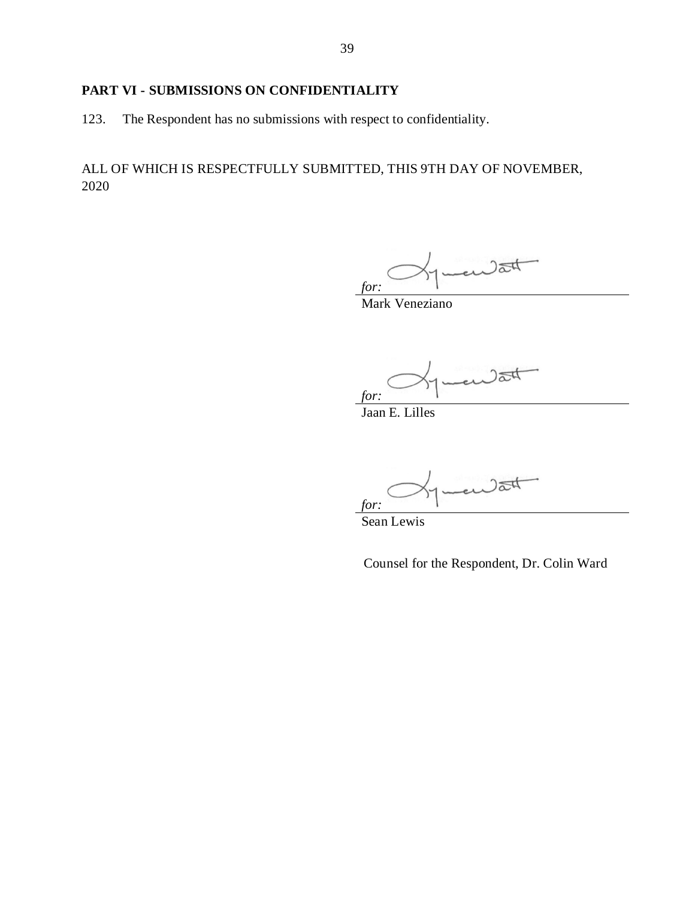# <span id="page-42-0"></span>**PART VI - SUBMISSIONS ON CONFIDENTIALITY**

123. The Respondent has no submissions with respect to confidentiality.

ALL OF WHICH IS RESPECTFULLY SUBMITTED, THIS 9TH DAY OF NOVEMBER, 2020

en dat *for:*

Mark Veneziano

 $2at$ *for:*

Jaan E. Lilles

en dat *for:*

Sean Lewis

Counsel for the Respondent, Dr. Colin Ward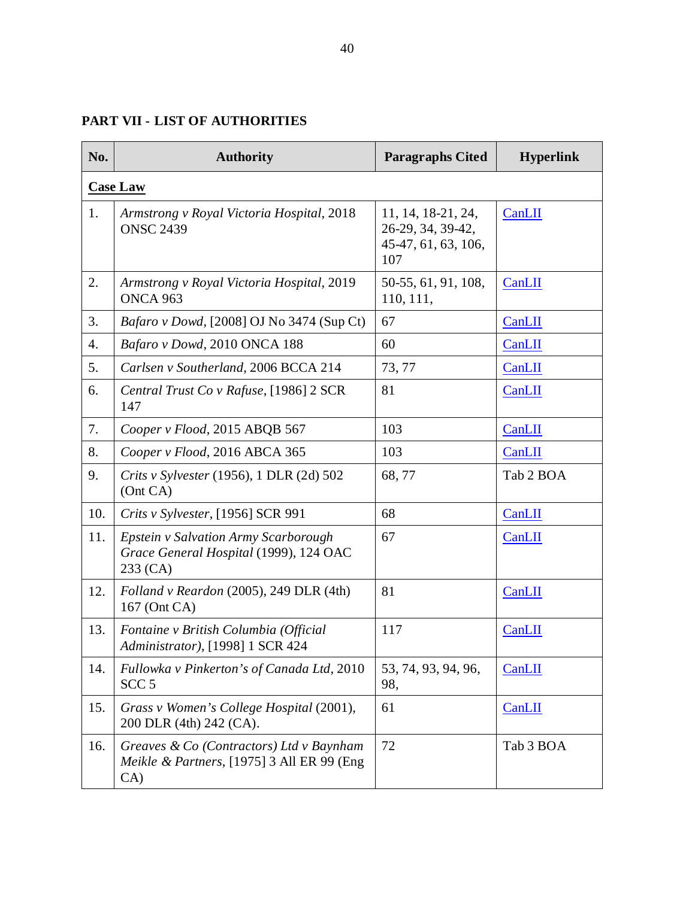<span id="page-43-0"></span>

| No. | <b>Authority</b>                                                                                  | <b>Paragraphs Cited</b>                                               | <b>Hyperlink</b> |  |  |  |
|-----|---------------------------------------------------------------------------------------------------|-----------------------------------------------------------------------|------------------|--|--|--|
|     | <b>Case Law</b>                                                                                   |                                                                       |                  |  |  |  |
| 1.  | Armstrong v Royal Victoria Hospital, 2018<br><b>ONSC 2439</b>                                     | 11, 14, 18-21, 24,<br>26-29, 34, 39-42,<br>45-47, 61, 63, 106,<br>107 | CanLII           |  |  |  |
| 2.  | Armstrong v Royal Victoria Hospital, 2019<br>ONCA 963                                             | 50-55, 61, 91, 108,<br>110, 111,                                      | CanLII           |  |  |  |
| 3.  | <i>Bafaro v Dowd</i> , [2008] OJ No 3474 (Sup Ct)                                                 | 67                                                                    | CanLII           |  |  |  |
| 4.  | Bafaro v Dowd, 2010 ONCA 188                                                                      | 60                                                                    | CanLII           |  |  |  |
| 5.  | Carlsen v Southerland, 2006 BCCA 214                                                              | 73, 77                                                                | CanLII           |  |  |  |
| 6.  | Central Trust Co v Rafuse, [1986] 2 SCR<br>147                                                    | 81                                                                    | CanLII           |  |  |  |
| 7.  | Cooper v Flood, 2015 ABQB 567                                                                     | 103                                                                   | CanLII           |  |  |  |
| 8.  | Cooper v Flood, 2016 ABCA 365                                                                     | 103                                                                   | CanLII           |  |  |  |
| 9.  | Crits v Sylvester (1956), 1 DLR (2d) 502<br>(Ont CA)                                              | 68,77                                                                 | Tab 2 BOA        |  |  |  |
| 10. | Crits v Sylvester, [1956] SCR 991                                                                 | 68                                                                    | CanLII           |  |  |  |
| 11. | <b>Epstein v Salvation Army Scarborough</b><br>Grace General Hospital (1999), 124 OAC<br>233 (CA) | 67                                                                    | CanLII           |  |  |  |
| 12. | Folland v Reardon (2005), 249 DLR (4th)<br>167 (Ont CA)                                           | 81                                                                    | CanLII           |  |  |  |
| 13. | Fontaine v British Columbia (Official<br>Administrator), [1998] 1 SCR 424                         | 117                                                                   | CanLII           |  |  |  |
| 14. | Fullowka v Pinkerton's of Canada Ltd, 2010<br>SCC <sub>5</sub>                                    | 53, 74, 93, 94, 96,<br>98,                                            | CanLII           |  |  |  |
| 15. | Grass v Women's College Hospital (2001),<br>200 DLR (4th) 242 (CA).                               | 61                                                                    | CanLII           |  |  |  |
| 16. | Greaves & Co (Contractors) Ltd v Baynham<br>Meikle & Partners, [1975] 3 All ER 99 (Eng<br>CA)     | 72                                                                    | Tab 3 BOA        |  |  |  |